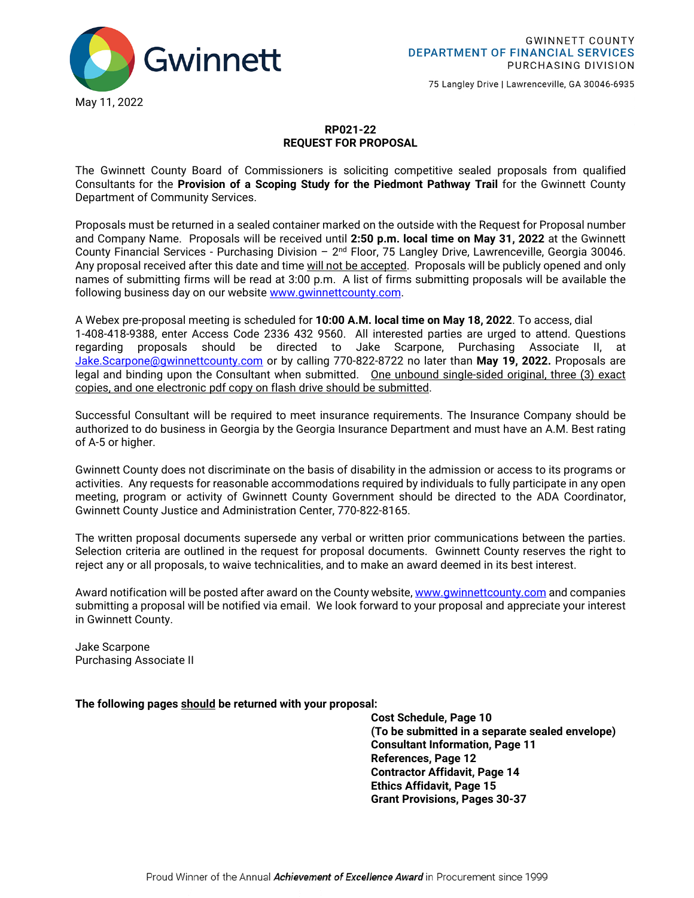

75 Langley Drive | Lawrenceville, GA 30046-6935

### **RP021-22 REQUEST FOR PROPOSAL**

The Gwinnett County Board of Commissioners is soliciting competitive sealed proposals from qualified Consultants for the **Provision of a Scoping Study for the Piedmont Pathway Trail** for the Gwinnett County Department of Community Services.

Proposals must be returned in a sealed container marked on the outside with the Request for Proposal number and Company Name. Proposals will be received until **2:50 p.m. local time on May 31, 2022** at the Gwinnett County Financial Services - Purchasing Division – 2nd Floor, 75 Langley Drive, Lawrenceville, Georgia 30046. Any proposal received after this date and time will not be accepted. Proposals will be publicly opened and only names of submitting firms will be read at 3:00 p.m. A list of firms submitting proposals will be available the following business day on our website [www.gwinnettcounty.com.](http://www.gwinnettcounty.com/)

A Webex pre-proposal meeting is scheduled for **10:00 A.M. local time on May 18, 2022**. To access, dial 1-408-418-9388, enter Access Code 2336 432 9560. All interested parties are urged to attend. Questions regarding proposals should be directed to Jake Scarpone, Purchasing Associate II, at [Jake.Scarpone@gwinnettcounty.com](mailto:Jake.Scarpone@gwinnettcounty.com) or by calling 770-822-8722 no later than **May 19, 2022.** Proposals are legal and binding upon the Consultant when submitted. One unbound single-sided original, three (3) exact copies, and one electronic pdf copy on flash drive should be submitted.

Successful Consultant will be required to meet insurance requirements. The Insurance Company should be authorized to do business in Georgia by the Georgia Insurance Department and must have an A.M. Best rating of A-5 or higher.

Gwinnett County does not discriminate on the basis of disability in the admission or access to its programs or activities. Any requests for reasonable accommodations required by individuals to fully participate in any open meeting, program or activity of Gwinnett County Government should be directed to the ADA Coordinator, Gwinnett County Justice and Administration Center, 770-822-8165.

The written proposal documents supersede any verbal or written prior communications between the parties. Selection criteria are outlined in the request for proposal documents. Gwinnett County reserves the right to reject any or all proposals, to waive technicalities, and to make an award deemed in its best interest.

Award notification will be posted after award on the County website[, www.gwinnettcounty.com](http://www.gwinnettcounty.com/) and companies submitting a proposal will be notified via email. We look forward to your proposal and appreciate your interest in Gwinnett County.

Jake Scarpone Purchasing Associate II

**The following pages should be returned with your proposal:** 

 **Cost Schedule, Page 10 (To be submitted in a separate sealed envelope) Consultant Information, Page 11 References, Page 12 Contractor Affidavit, Page 14 Ethics Affidavit, Page 15 Grant Provisions, Pages 30-37**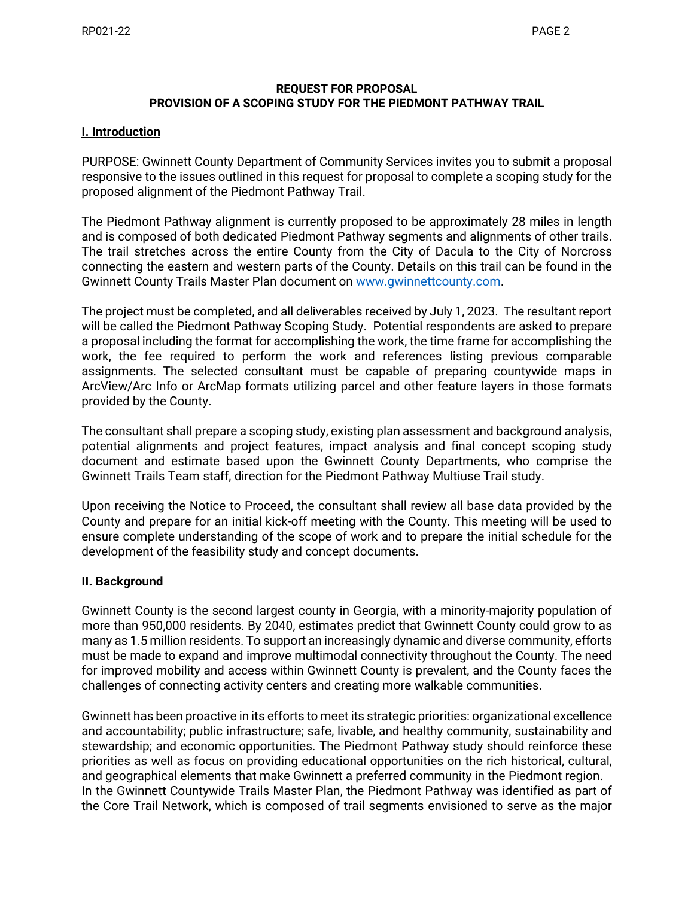#### **REQUEST FOR PROPOSAL PROVISION OF A SCOPING STUDY FOR THE PIEDMONT PATHWAY TRAIL**

### **I. Introduction**

PURPOSE: Gwinnett County Department of Community Services invites you to submit a proposal responsive to the issues outlined in this request for proposal to complete a scoping study for the proposed alignment of the Piedmont Pathway Trail.

The Piedmont Pathway alignment is currently proposed to be approximately 28 miles in length and is composed of both dedicated Piedmont Pathway segments and alignments of other trails. The trail stretches across the entire County from the City of Dacula to the City of Norcross connecting the eastern and western parts of the County. Details on this trail can be found in the Gwinnett County Trails Master Plan document on [www.gwinnettcounty.com.](http://www.gwinnettcounty.com/)

The project must be completed, and all deliverables received by July 1, 2023. The resultant report will be called the Piedmont Pathway Scoping Study. Potential respondents are asked to prepare a proposal including the format for accomplishing the work, the time frame for accomplishing the work, the fee required to perform the work and references listing previous comparable assignments. The selected consultant must be capable of preparing countywide maps in ArcView/Arc Info or ArcMap formats utilizing parcel and other feature layers in those formats provided by the County.

The consultant shall prepare a scoping study, existing plan assessment and background analysis, potential alignments and project features, impact analysis and final concept scoping study document and estimate based upon the Gwinnett County Departments, who comprise the Gwinnett Trails Team staff, direction for the Piedmont Pathway Multiuse Trail study.

Upon receiving the Notice to Proceed, the consultant shall review all base data provided by the County and prepare for an initial kick-off meeting with the County. This meeting will be used to ensure complete understanding of the scope of work and to prepare the initial schedule for the development of the feasibility study and concept documents.

### **II. Background**

Gwinnett County is the second largest county in Georgia, with a minority-majority population of more than 950,000 residents. By 2040, estimates predict that Gwinnett County could grow to as many as 1.5 million residents. To support an increasingly dynamic and diverse community, efforts must be made to expand and improve multimodal connectivity throughout the County. The need for improved mobility and access within Gwinnett County is prevalent, and the County faces the challenges of connecting activity centers and creating more walkable communities.

Gwinnett has been proactive in its efforts to meet its strategic priorities: organizational excellence and accountability; public infrastructure; safe, livable, and healthy community, sustainability and stewardship; and economic opportunities. The Piedmont Pathway study should reinforce these priorities as well as focus on providing educational opportunities on the rich historical, cultural, and geographical elements that make Gwinnett a preferred community in the Piedmont region. In the Gwinnett Countywide Trails Master Plan, the Piedmont Pathway was identified as part of the Core Trail Network, which is composed of trail segments envisioned to serve as the major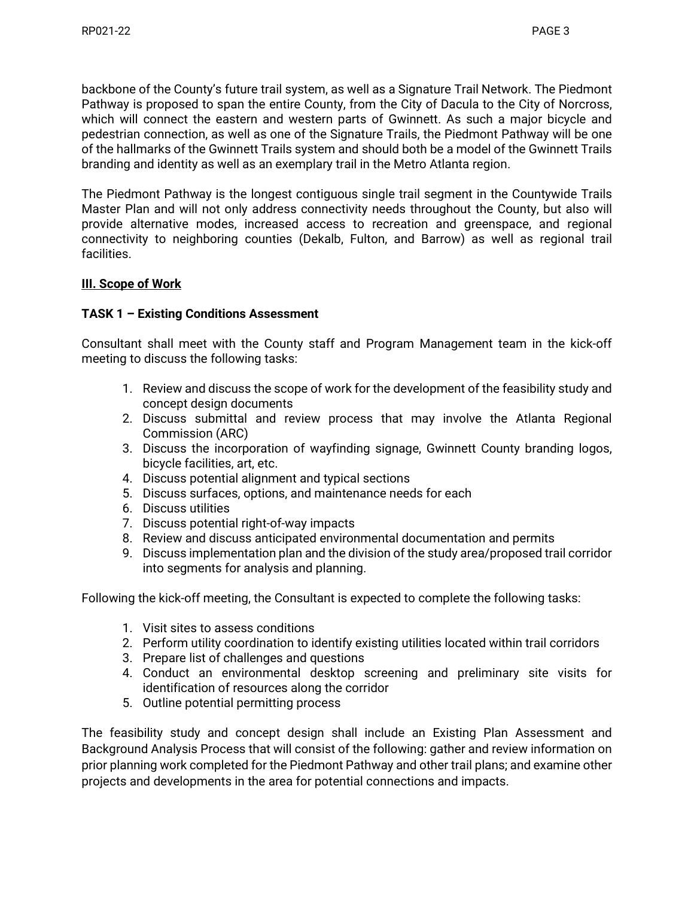backbone of the County's future trail system, as well as a Signature Trail Network. The Piedmont Pathway is proposed to span the entire County, from the City of Dacula to the City of Norcross, which will connect the eastern and western parts of Gwinnett. As such a major bicycle and pedestrian connection, as well as one of the Signature Trails, the Piedmont Pathway will be one of the hallmarks of the Gwinnett Trails system and should both be a model of the Gwinnett Trails branding and identity as well as an exemplary trail in the Metro Atlanta region.

The Piedmont Pathway is the longest contiguous single trail segment in the Countywide Trails Master Plan and will not only address connectivity needs throughout the County, but also will provide alternative modes, increased access to recreation and greenspace, and regional connectivity to neighboring counties (Dekalb, Fulton, and Barrow) as well as regional trail facilities.

## **III. Scope of Work**

### **TASK 1 – Existing Conditions Assessment**

Consultant shall meet with the County staff and Program Management team in the kick-off meeting to discuss the following tasks:

- 1. Review and discuss the scope of work for the development of the feasibility study and concept design documents
- 2. Discuss submittal and review process that may involve the Atlanta Regional Commission (ARC)
- 3. Discuss the incorporation of wayfinding signage, Gwinnett County branding logos, bicycle facilities, art, etc.
- 4. Discuss potential alignment and typical sections
- 5. Discuss surfaces, options, and maintenance needs for each
- 6. Discuss utilities
- 7. Discuss potential right-of-way impacts
- 8. Review and discuss anticipated environmental documentation and permits
- 9. Discuss implementation plan and the division of the study area/proposed trail corridor into segments for analysis and planning.

Following the kick-off meeting, the Consultant is expected to complete the following tasks:

- 1. Visit sites to assess conditions
- 2. Perform utility coordination to identify existing utilities located within trail corridors
- 3. Prepare list of challenges and questions
- 4. Conduct an environmental desktop screening and preliminary site visits for identification of resources along the corridor
- 5. Outline potential permitting process

The feasibility study and concept design shall include an Existing Plan Assessment and Background Analysis Process that will consist of the following: gather and review information on prior planning work completed for the Piedmont Pathway and other trail plans; and examine other projects and developments in the area for potential connections and impacts.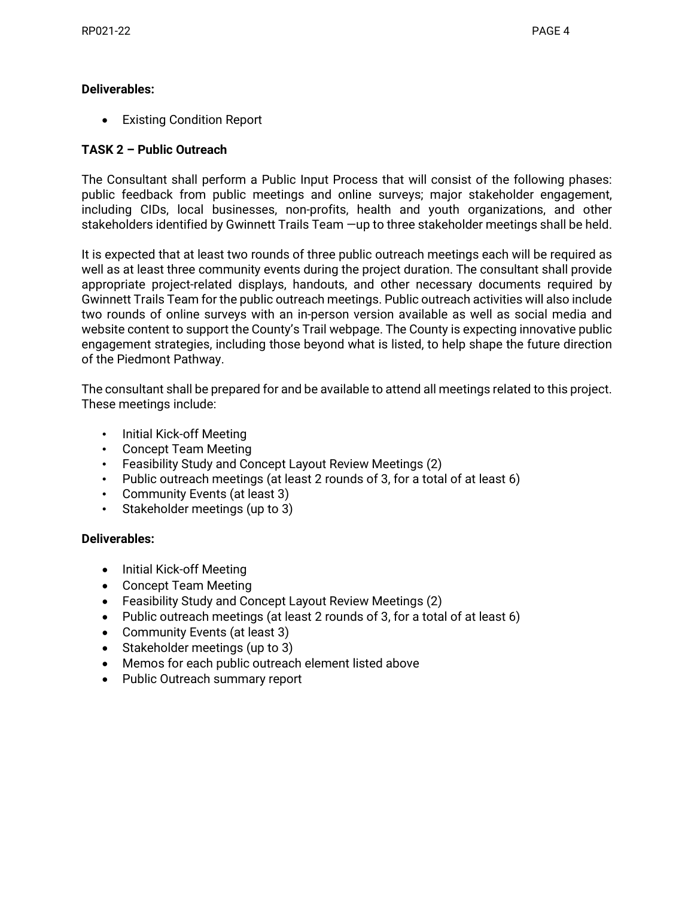## **Deliverables:**

• Existing Condition Report

# **TASK 2 – Public Outreach**

The Consultant shall perform a Public Input Process that will consist of the following phases: public feedback from public meetings and online surveys; major stakeholder engagement, including CIDs, local businesses, non-profits, health and youth organizations, and other stakeholders identified by Gwinnett Trails Team —up to three stakeholder meetings shall be held.

It is expected that at least two rounds of three public outreach meetings each will be required as well as at least three community events during the project duration. The consultant shall provide appropriate project-related displays, handouts, and other necessary documents required by Gwinnett Trails Team for the public outreach meetings. Public outreach activities will also include two rounds of online surveys with an in-person version available as well as social media and website content to support the County's Trail webpage. The County is expecting innovative public engagement strategies, including those beyond what is listed, to help shape the future direction of the Piedmont Pathway.

The consultant shall be prepared for and be available to attend all meetings related to this project. These meetings include:

- Initial Kick-off Meeting
- Concept Team Meeting
- Feasibility Study and Concept Layout Review Meetings (2)
- Public outreach meetings (at least 2 rounds of 3, for a total of at least 6)
- Community Events (at least 3)
- Stakeholder meetings (up to 3)

### **Deliverables:**

- Initial Kick-off Meeting
- Concept Team Meeting
- Feasibility Study and Concept Layout Review Meetings (2)
- Public outreach meetings (at least 2 rounds of 3, for a total of at least 6)
- Community Events (at least 3)
- Stakeholder meetings (up to 3)
- Memos for each public outreach element listed above
- Public Outreach summary report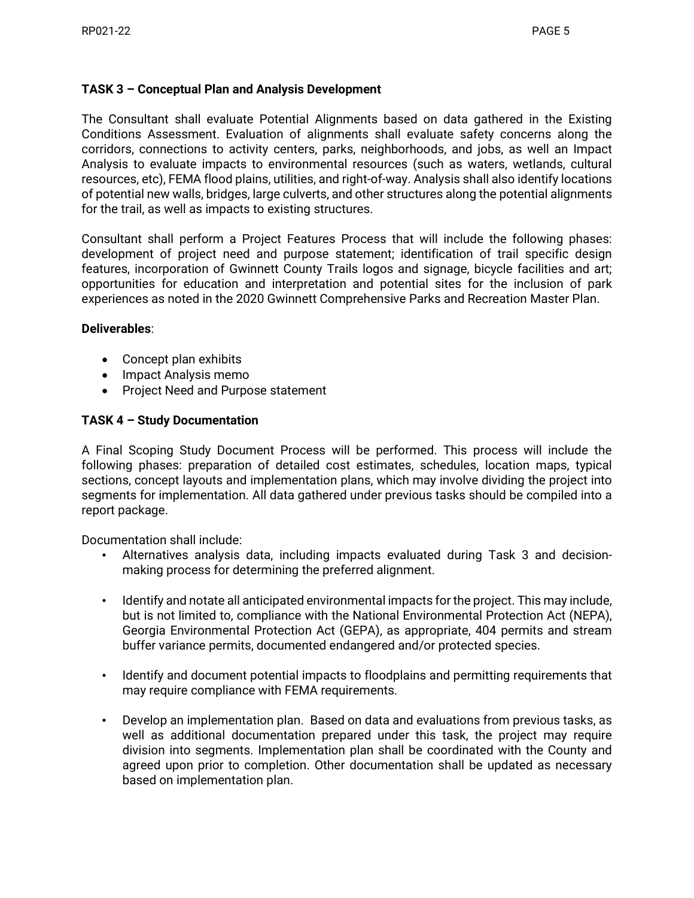## **TASK 3 – Conceptual Plan and Analysis Development**

The Consultant shall evaluate Potential Alignments based on data gathered in the Existing Conditions Assessment. Evaluation of alignments shall evaluate safety concerns along the corridors, connections to activity centers, parks, neighborhoods, and jobs, as well an Impact Analysis to evaluate impacts to environmental resources (such as waters, wetlands, cultural resources, etc), FEMA flood plains, utilities, and right-of-way. Analysis shall also identify locations of potential new walls, bridges, large culverts, and other structures along the potential alignments for the trail, as well as impacts to existing structures.

Consultant shall perform a Project Features Process that will include the following phases: development of project need and purpose statement; identification of trail specific design features, incorporation of Gwinnett County Trails logos and signage, bicycle facilities and art; opportunities for education and interpretation and potential sites for the inclusion of park experiences as noted in the 2020 Gwinnett Comprehensive Parks and Recreation Master Plan.

### **Deliverables**:

- Concept plan exhibits
- Impact Analysis memo
- Project Need and Purpose statement

### **TASK 4 – Study Documentation**

A Final Scoping Study Document Process will be performed. This process will include the following phases: preparation of detailed cost estimates, schedules, location maps, typical sections, concept layouts and implementation plans, which may involve dividing the project into segments for implementation. All data gathered under previous tasks should be compiled into a report package.

Documentation shall include:

- Alternatives analysis data, including impacts evaluated during Task 3 and decisionmaking process for determining the preferred alignment.
- Identify and notate all anticipated environmental impacts for the project. This may include, but is not limited to, compliance with the National Environmental Protection Act (NEPA), Georgia Environmental Protection Act (GEPA), as appropriate, 404 permits and stream buffer variance permits, documented endangered and/or protected species.
- Identify and document potential impacts to floodplains and permitting requirements that may require compliance with FEMA requirements.
- Develop an implementation plan. Based on data and evaluations from previous tasks, as well as additional documentation prepared under this task, the project may require division into segments. Implementation plan shall be coordinated with the County and agreed upon prior to completion. Other documentation shall be updated as necessary based on implementation plan.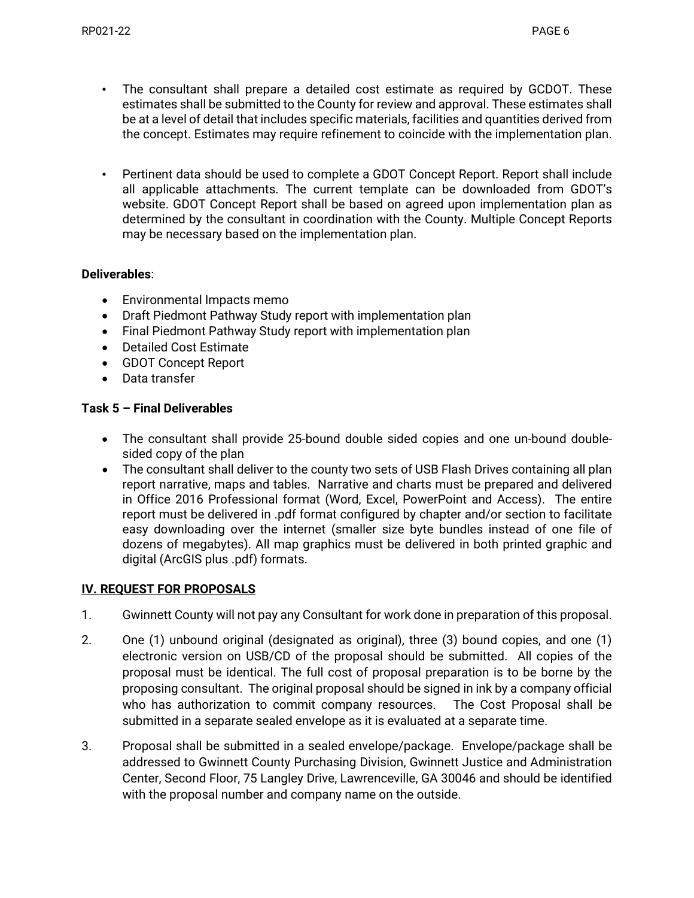- The consultant shall prepare a detailed cost estimate as required by GCDOT. These estimates shall be submitted to the County for review and approval. These estimates shall be at a level of detail that includes specific materials, facilities and quantities derived from the concept. Estimates may require refinement to coincide with the implementation plan.
- Pertinent data should be used to complete a GDOT Concept Report. Report shall include all applicable attachments. The current template can be downloaded from GDOT's website. GDOT Concept Report shall be based on agreed upon implementation plan as determined by the consultant in coordination with the County. Multiple Concept Reports may be necessary based on the implementation plan.

## **Deliverables**:

- Environmental Impacts memo
- Draft Piedmont Pathway Study report with implementation plan
- Final Piedmont Pathway Study report with implementation plan
- Detailed Cost Estimate
- GDOT Concept Report
- Data transfer

### **Task 5 – Final Deliverables**

- The consultant shall provide 25-bound double sided copies and one un-bound doublesided copy of the plan
- The consultant shall deliver to the county two sets of USB Flash Drives containing all plan report narrative, maps and tables. Narrative and charts must be prepared and delivered in Office 2016 Professional format (Word, Excel, PowerPoint and Access). The entire report must be delivered in .pdf format configured by chapter and/or section to facilitate easy downloading over the internet (smaller size byte bundles instead of one file of dozens of megabytes). All map graphics must be delivered in both printed graphic and digital (ArcGIS plus .pdf) formats.

# **IV. REQUEST FOR PROPOSALS**

- 1. Gwinnett County will not pay any Consultant for work done in preparation of this proposal.
- 2. One (1) unbound original (designated as original), three (3) bound copies, and one (1) electronic version on USB/CD of the proposal should be submitted. All copies of the proposal must be identical. The full cost of proposal preparation is to be borne by the proposing consultant. The original proposal should be signed in ink by a company official who has authorization to commit company resources. The Cost Proposal shall be submitted in a separate sealed envelope as it is evaluated at a separate time.
- 3. Proposal shall be submitted in a sealed envelope/package. Envelope/package shall be addressed to Gwinnett County Purchasing Division, Gwinnett Justice and Administration Center, Second Floor, 75 Langley Drive, Lawrenceville, GA 30046 and should be identified with the proposal number and company name on the outside.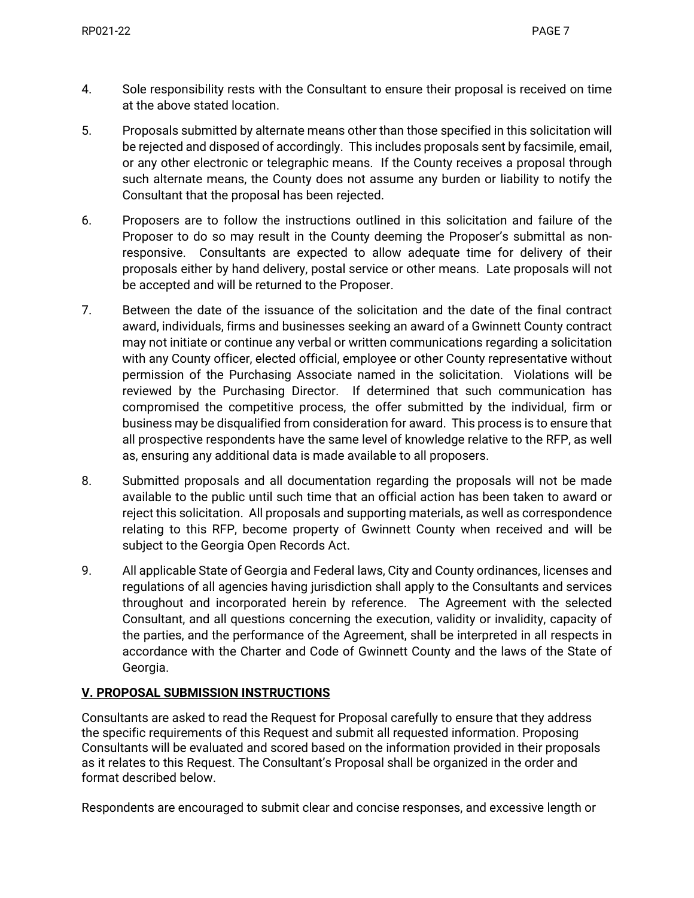- 4. Sole responsibility rests with the Consultant to ensure their proposal is received on time at the above stated location.
- 5. Proposals submitted by alternate means other than those specified in this solicitation will be rejected and disposed of accordingly. This includes proposals sent by facsimile, email, or any other electronic or telegraphic means. If the County receives a proposal through such alternate means, the County does not assume any burden or liability to notify the Consultant that the proposal has been rejected.
- 6. Proposers are to follow the instructions outlined in this solicitation and failure of the Proposer to do so may result in the County deeming the Proposer's submittal as nonresponsive. Consultants are expected to allow adequate time for delivery of their proposals either by hand delivery, postal service or other means. Late proposals will not be accepted and will be returned to the Proposer.
- 7. Between the date of the issuance of the solicitation and the date of the final contract award, individuals, firms and businesses seeking an award of a Gwinnett County contract may not initiate or continue any verbal or written communications regarding a solicitation with any County officer, elected official, employee or other County representative without permission of the Purchasing Associate named in the solicitation. Violations will be reviewed by the Purchasing Director. If determined that such communication has compromised the competitive process, the offer submitted by the individual, firm or business may be disqualified from consideration for award. This process is to ensure that all prospective respondents have the same level of knowledge relative to the RFP, as well as, ensuring any additional data is made available to all proposers.
- 8. Submitted proposals and all documentation regarding the proposals will not be made available to the public until such time that an official action has been taken to award or reject this solicitation. All proposals and supporting materials, as well as correspondence relating to this RFP, become property of Gwinnett County when received and will be subject to the Georgia Open Records Act.
- 9. All applicable State of Georgia and Federal laws, City and County ordinances, licenses and regulations of all agencies having jurisdiction shall apply to the Consultants and services throughout and incorporated herein by reference. The Agreement with the selected Consultant, and all questions concerning the execution, validity or invalidity, capacity of the parties, and the performance of the Agreement, shall be interpreted in all respects in accordance with the Charter and Code of Gwinnett County and the laws of the State of Georgia.

### **V. PROPOSAL SUBMISSION INSTRUCTIONS**

Consultants are asked to read the Request for Proposal carefully to ensure that they address the specific requirements of this Request and submit all requested information. Proposing Consultants will be evaluated and scored based on the information provided in their proposals as it relates to this Request. The Consultant's Proposal shall be organized in the order and format described below.

Respondents are encouraged to submit clear and concise responses, and excessive length or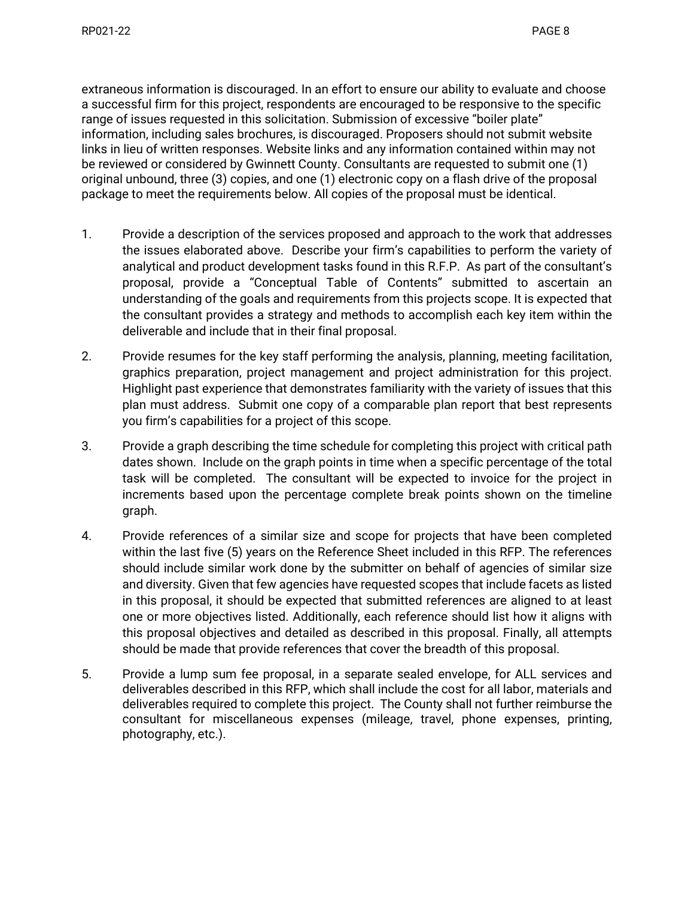extraneous information is discouraged. In an effort to ensure our ability to evaluate and choose a successful firm for this project, respondents are encouraged to be responsive to the specific range of issues requested in this solicitation. Submission of excessive "boiler plate" information, including sales brochures, is discouraged. Proposers should not submit website links in lieu of written responses. Website links and any information contained within may not be reviewed or considered by Gwinnett County. Consultants are requested to submit one (1) original unbound, three (3) copies, and one (1) electronic copy on a flash drive of the proposal package to meet the requirements below. All copies of the proposal must be identical.

- 1. Provide a description of the services proposed and approach to the work that addresses the issues elaborated above. Describe your firm's capabilities to perform the variety of analytical and product development tasks found in this R.F.P. As part of the consultant's proposal, provide a "Conceptual Table of Contents" submitted to ascertain an understanding of the goals and requirements from this projects scope. It is expected that the consultant provides a strategy and methods to accomplish each key item within the deliverable and include that in their final proposal.
- 2. Provide resumes for the key staff performing the analysis, planning, meeting facilitation, graphics preparation, project management and project administration for this project. Highlight past experience that demonstrates familiarity with the variety of issues that this plan must address. Submit one copy of a comparable plan report that best represents you firm's capabilities for a project of this scope.
- 3. Provide a graph describing the time schedule for completing this project with critical path dates shown. Include on the graph points in time when a specific percentage of the total task will be completed. The consultant will be expected to invoice for the project in increments based upon the percentage complete break points shown on the timeline graph.
- 4. Provide references of a similar size and scope for projects that have been completed within the last five (5) years on the Reference Sheet included in this RFP. The references should include similar work done by the submitter on behalf of agencies of similar size and diversity. Given that few agencies have requested scopes that include facets as listed in this proposal, it should be expected that submitted references are aligned to at least one or more objectives listed. Additionally, each reference should list how it aligns with this proposal objectives and detailed as described in this proposal. Finally, all attempts should be made that provide references that cover the breadth of this proposal.
- 5. Provide a lump sum fee proposal, in a separate sealed envelope, for ALL services and deliverables described in this RFP, which shall include the cost for all labor, materials and deliverables required to complete this project. The County shall not further reimburse the consultant for miscellaneous expenses (mileage, travel, phone expenses, printing, photography, etc.).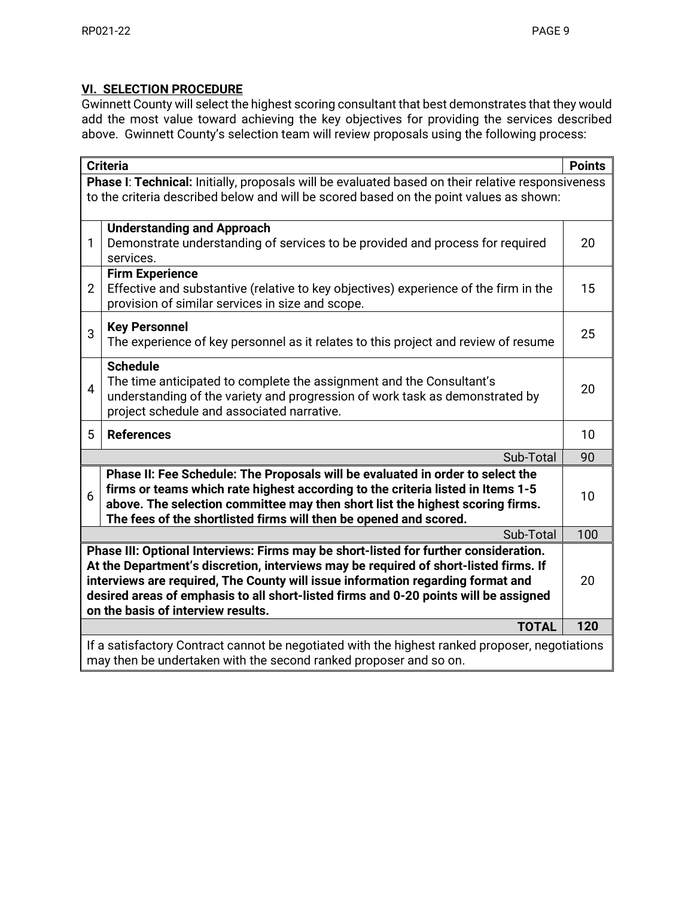# **VI. SELECTION PROCEDURE**

Gwinnett County will select the highest scoring consultant that best demonstrates that they would add the most value toward achieving the key objectives for providing the services described above. Gwinnett County's selection team will review proposals using the following process:

| <b>Criteria</b>                                                                                                                                                                                                                                                                                                                                                                               |                                                                                                                                                                                                                                                                                                                         |     |
|-----------------------------------------------------------------------------------------------------------------------------------------------------------------------------------------------------------------------------------------------------------------------------------------------------------------------------------------------------------------------------------------------|-------------------------------------------------------------------------------------------------------------------------------------------------------------------------------------------------------------------------------------------------------------------------------------------------------------------------|-----|
| Phase I: Technical: Initially, proposals will be evaluated based on their relative responsiveness                                                                                                                                                                                                                                                                                             |                                                                                                                                                                                                                                                                                                                         |     |
| to the criteria described below and will be scored based on the point values as shown:                                                                                                                                                                                                                                                                                                        |                                                                                                                                                                                                                                                                                                                         |     |
|                                                                                                                                                                                                                                                                                                                                                                                               | <b>Understanding and Approach</b>                                                                                                                                                                                                                                                                                       |     |
| 1                                                                                                                                                                                                                                                                                                                                                                                             | Demonstrate understanding of services to be provided and process for required<br>services.                                                                                                                                                                                                                              | 20  |
| $\overline{2}$                                                                                                                                                                                                                                                                                                                                                                                | <b>Firm Experience</b><br>Effective and substantive (relative to key objectives) experience of the firm in the<br>provision of similar services in size and scope.                                                                                                                                                      | 15  |
| 3                                                                                                                                                                                                                                                                                                                                                                                             | <b>Key Personnel</b><br>The experience of key personnel as it relates to this project and review of resume                                                                                                                                                                                                              | 25  |
| $\overline{4}$                                                                                                                                                                                                                                                                                                                                                                                | <b>Schedule</b><br>The time anticipated to complete the assignment and the Consultant's<br>understanding of the variety and progression of work task as demonstrated by<br>project schedule and associated narrative.                                                                                                   | 20  |
| 5                                                                                                                                                                                                                                                                                                                                                                                             | <b>References</b>                                                                                                                                                                                                                                                                                                       | 10  |
|                                                                                                                                                                                                                                                                                                                                                                                               | Sub-Total                                                                                                                                                                                                                                                                                                               | 90  |
| 6                                                                                                                                                                                                                                                                                                                                                                                             | Phase II: Fee Schedule: The Proposals will be evaluated in order to select the<br>firms or teams which rate highest according to the criteria listed in Items 1-5<br>above. The selection committee may then short list the highest scoring firms.<br>The fees of the shortlisted firms will then be opened and scored. | 10  |
|                                                                                                                                                                                                                                                                                                                                                                                               | Sub-Total                                                                                                                                                                                                                                                                                                               | 100 |
| Phase III: Optional Interviews: Firms may be short-listed for further consideration.<br>At the Department's discretion, interviews may be required of short-listed firms. If<br>interviews are required, The County will issue information regarding format and<br>desired areas of emphasis to all short-listed firms and 0-20 points will be assigned<br>on the basis of interview results. |                                                                                                                                                                                                                                                                                                                         |     |
|                                                                                                                                                                                                                                                                                                                                                                                               | <b>TOTAL</b>                                                                                                                                                                                                                                                                                                            | 120 |
| If a satisfactory Contract cannot be negotiated with the highest ranked proposer, negotiations<br>may then be undertaken with the second ranked proposer and so on.                                                                                                                                                                                                                           |                                                                                                                                                                                                                                                                                                                         |     |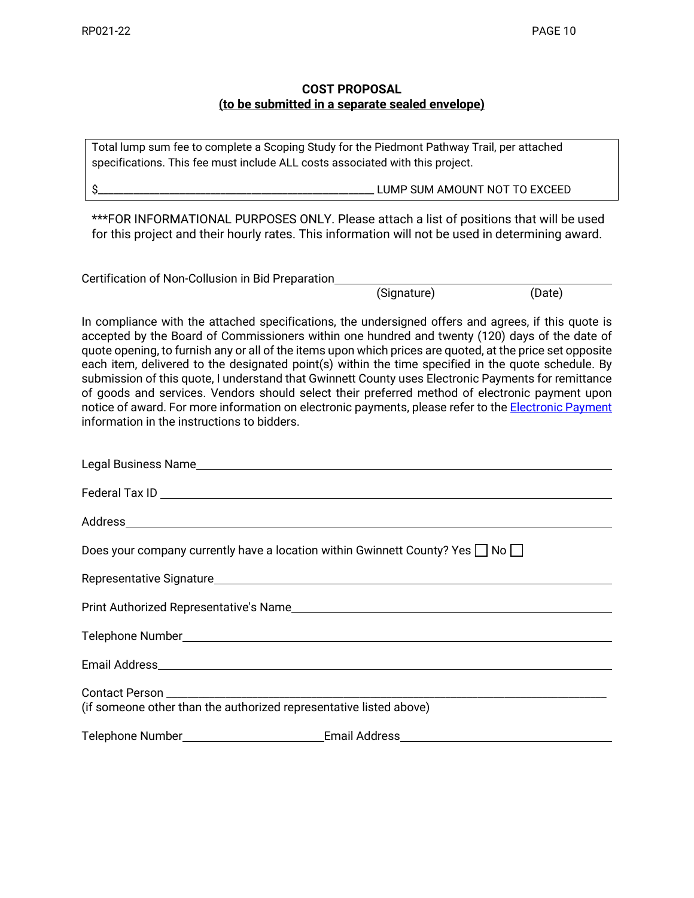## **COST PROPOSAL (to be submitted in a separate sealed envelope)**

Total lump sum fee to complete a Scoping Study for the Piedmont Pathway Trail, per attached specifications. This fee must include ALL costs associated with this project.

\$\_\_\_\_\_\_\_\_\_\_\_\_\_\_\_\_\_\_\_\_\_\_\_\_\_\_\_\_\_\_\_\_\_\_\_\_\_\_\_\_\_\_\_\_\_\_\_\_\_\_\_\_\_\_ LUMP SUM AMOUNT NOT TO EXCEED

\*\*\*FOR INFORMATIONAL PURPOSES ONLY. Please attach a list of positions that will be used for this project and their hourly rates. This information will not be used in determining award.

Certification of Non-Collusion in Bid Preparation

(Signature) (Date)

In compliance with the attached specifications, the undersigned offers and agrees, if this quote is accepted by the Board of Commissioners within one hundred and twenty (120) days of the date of quote opening, to furnish any or all of the items upon which prices are quoted, at the price set opposite each item, delivered to the designated point(s) within the time specified in the quote schedule. By submission of this quote, I understand that Gwinnett County uses Electronic Payments for remittance of goods and services. Vendors should select their preferred method of electronic payment upon notice of award. For more information on electronic payments, please refer to the [Electronic Payment](http://www.gwinnettcounty.com/portal/gwinnett/Departments/FinancialServices/Treasury/) information in the instructions to bidders.

| Does your company currently have a location within Gwinnett County? Yes $\Box$ No $\Box$ |  |  |
|------------------------------------------------------------------------------------------|--|--|
|                                                                                          |  |  |
|                                                                                          |  |  |
|                                                                                          |  |  |
|                                                                                          |  |  |
|                                                                                          |  |  |
| (if someone other than the authorized representative listed above)                       |  |  |
| Telephone Number_____________________________Email Address______________________         |  |  |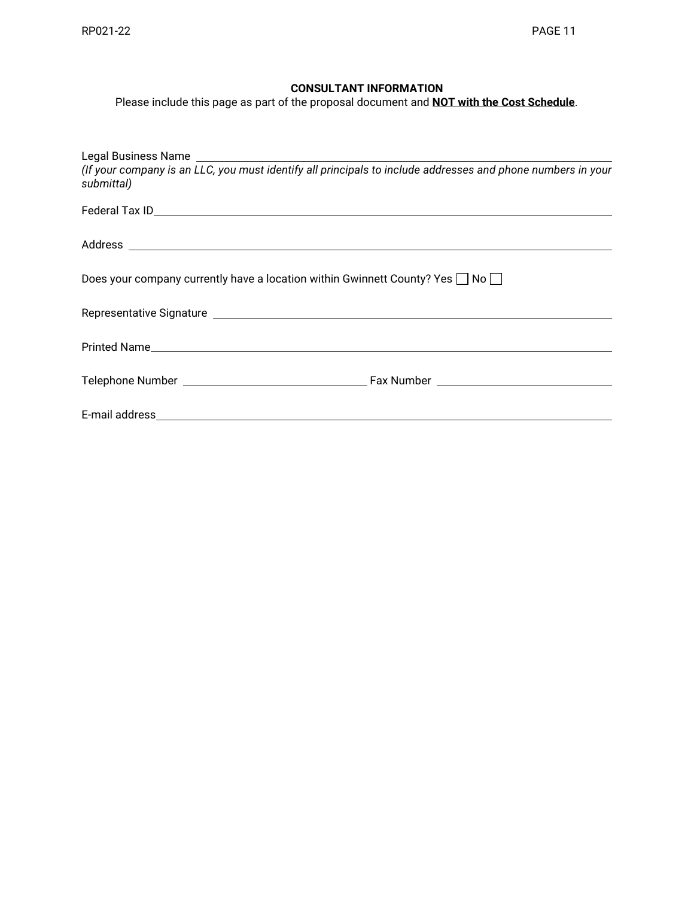### **CONSULTANT INFORMATION**

Please include this page as part of the proposal document and **NOT with the Cost Schedule**.

| submittal)                                                                               |  |  |
|------------------------------------------------------------------------------------------|--|--|
|                                                                                          |  |  |
|                                                                                          |  |  |
| Does your company currently have a location within Gwinnett County? Yes $\Box$ No $\Box$ |  |  |
|                                                                                          |  |  |
|                                                                                          |  |  |
|                                                                                          |  |  |
|                                                                                          |  |  |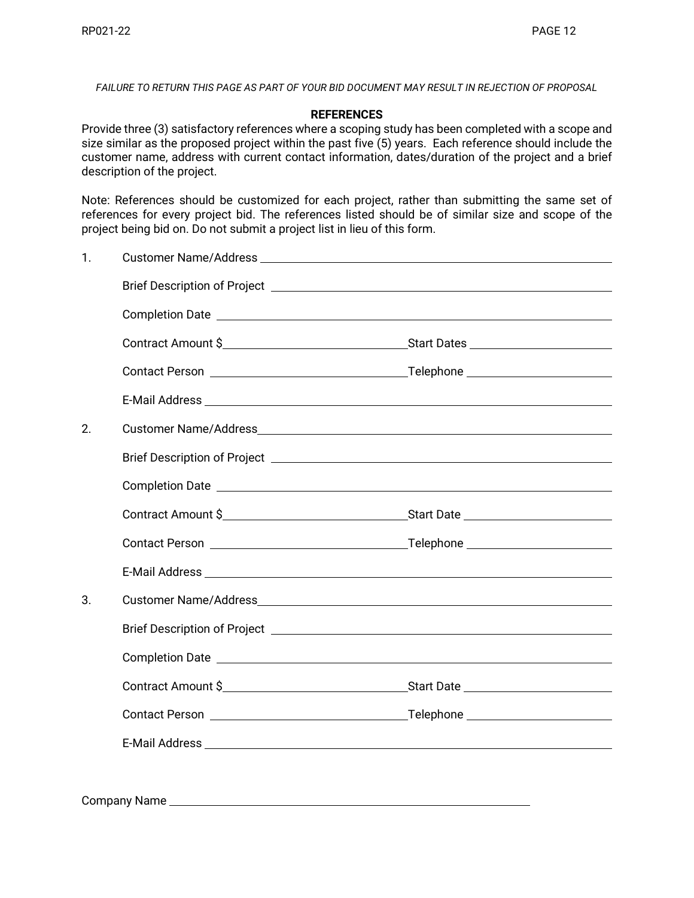*FAILURE TO RETURN THIS PAGE AS PART OF YOUR BID DOCUMENT MAY RESULT IN REJECTION OF PROPOSAL*

#### **REFERENCES**

Provide three (3) satisfactory references where a scoping study has been completed with a scope and size similar as the proposed project within the past five (5) years. Each reference should include the customer name, address with current contact information, dates/duration of the project and a brief description of the project.

Note: References should be customized for each project, rather than submitting the same set of references for every project bid. The references listed should be of similar size and scope of the project being bid on. Do not submit a project list in lieu of this form.

| 1. |                                                                                                                                                                                                                                |  |
|----|--------------------------------------------------------------------------------------------------------------------------------------------------------------------------------------------------------------------------------|--|
|    |                                                                                                                                                                                                                                |  |
|    |                                                                                                                                                                                                                                |  |
|    |                                                                                                                                                                                                                                |  |
|    |                                                                                                                                                                                                                                |  |
|    |                                                                                                                                                                                                                                |  |
| 2. |                                                                                                                                                                                                                                |  |
|    |                                                                                                                                                                                                                                |  |
|    |                                                                                                                                                                                                                                |  |
|    |                                                                                                                                                                                                                                |  |
|    |                                                                                                                                                                                                                                |  |
|    |                                                                                                                                                                                                                                |  |
| 3. | Customer Name/Address and the control of the control of the control of the control of the control of the control of the control of the control of the control of the control of the control of the control of the control of t |  |
|    |                                                                                                                                                                                                                                |  |
|    |                                                                                                                                                                                                                                |  |
|    | Contract Amount \$                                                                                                                                                                                                             |  |
|    |                                                                                                                                                                                                                                |  |
|    |                                                                                                                                                                                                                                |  |
|    |                                                                                                                                                                                                                                |  |

Company Name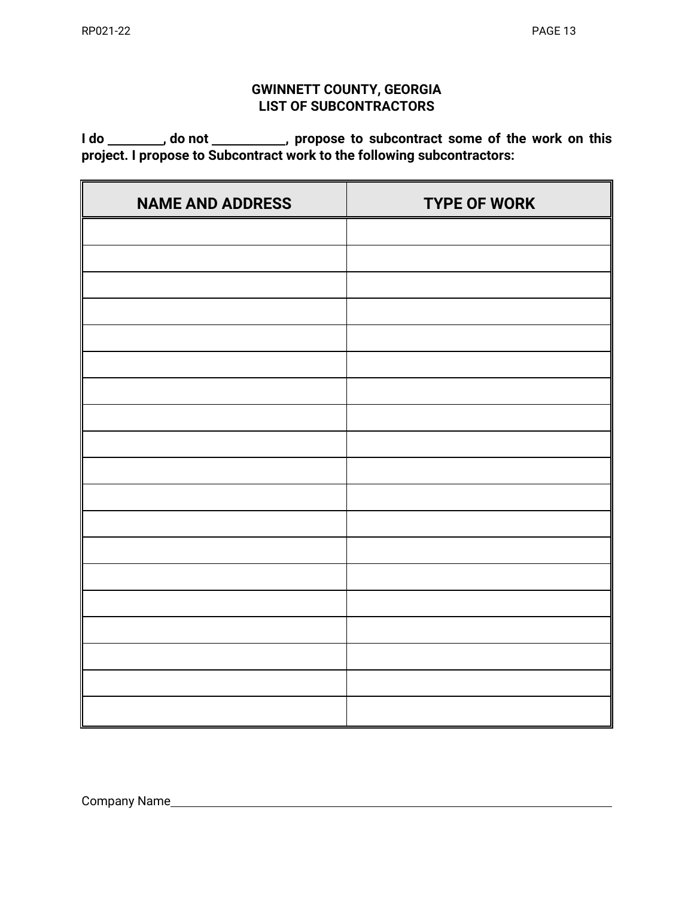# **GWINNETT COUNTY, GEORGIA LIST OF SUBCONTRACTORS**

I do \_\_\_\_\_\_\_\_, do not \_\_\_\_\_\_\_\_\_\_, propose to subcontract some of the work on this **project. I propose to Subcontract work to the following subcontractors:**

| <b>NAME AND ADDRESS</b> | <b>TYPE OF WORK</b> |
|-------------------------|---------------------|
|                         |                     |
|                         |                     |
|                         |                     |
|                         |                     |
|                         |                     |
|                         |                     |
|                         |                     |
|                         |                     |
|                         |                     |
|                         |                     |
|                         |                     |
|                         |                     |
|                         |                     |
|                         |                     |
|                         |                     |
|                         |                     |
|                         |                     |
|                         |                     |
|                         |                     |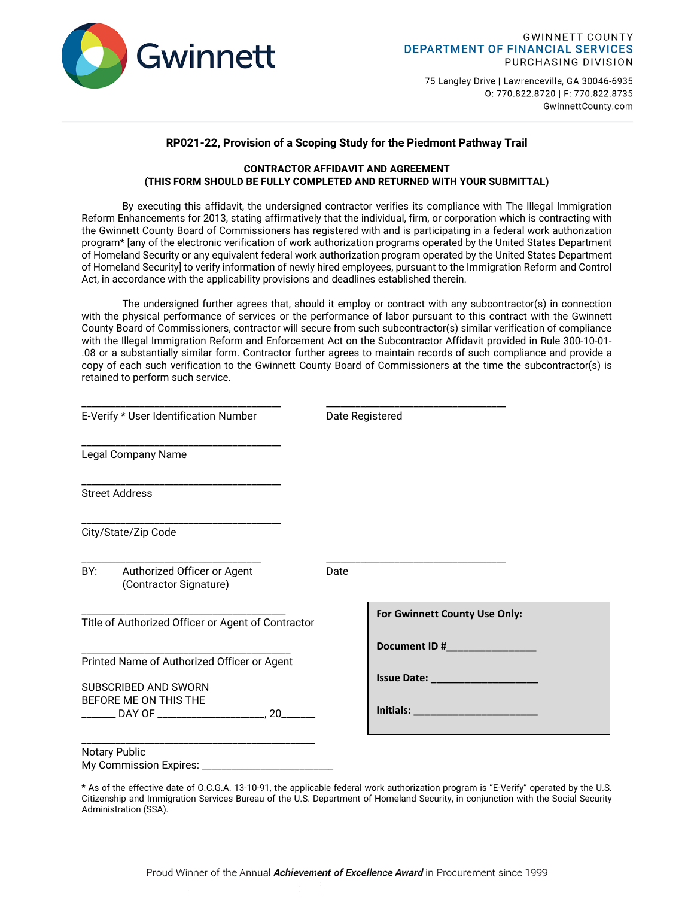

75 Langley Drive | Lawrenceville, GA 30046-6935 0: 770.822.8720 | F: 770.822.8735 GwinnettCounty.com

#### **RP021-22, Provision of a Scoping Study for the Piedmont Pathway Trail**

#### **CONTRACTOR AFFIDAVIT AND AGREEMENT (THIS FORM SHOULD BE FULLY COMPLETED AND RETURNED WITH YOUR SUBMITTAL)**

By executing this affidavit, the undersigned contractor verifies its compliance with The Illegal Immigration Reform Enhancements for 2013, stating affirmatively that the individual, firm, or corporation which is contracting with the Gwinnett County Board of Commissioners has registered with and is participating in a federal work authorization program\* [any of the electronic verification of work authorization programs operated by the United States Department of Homeland Security or any equivalent federal work authorization program operated by the United States Department of Homeland Security] to verify information of newly hired employees, pursuant to the Immigration Reform and Control Act, in accordance with the applicability provisions and deadlines established therein.

The undersigned further agrees that, should it employ or contract with any subcontractor(s) in connection with the physical performance of services or the performance of labor pursuant to this contract with the Gwinnett County Board of Commissioners, contractor will secure from such subcontractor(s) similar verification of compliance with the Illegal Immigration Reform and Enforcement Act on the Subcontractor Affidavit provided in Rule 300-10-01- .08 or a substantially similar form. Contractor further agrees to maintain records of such compliance and provide a copy of each such verification to the Gwinnett County Board of Commissioners at the time the subcontractor(s) is retained to perform such service.

| E-Verify * User Identification Number                                                               | Date Registered                            |  |
|-----------------------------------------------------------------------------------------------------|--------------------------------------------|--|
| Legal Company Name                                                                                  |                                            |  |
| <b>Street Address</b>                                                                               |                                            |  |
| City/State/Zip Code                                                                                 |                                            |  |
| BY: Authorized Officer or Agent<br>(Contractor Signature)                                           | Date                                       |  |
| Title of Authorized Officer or Agent of Contractor                                                  | For Gwinnett County Use Only:              |  |
| Printed Name of Authorized Officer or Agent<br><b>SUBSCRIBED AND SWORN</b><br>BEFORE ME ON THIS THE | <b>Issue Date: Example 2019</b>            |  |
| Notary Public                                                                                       | <b>Initials:</b> _________________________ |  |
|                                                                                                     |                                            |  |

\* As of the effective date of O.C.G.A. 13-10-91, the applicable federal work authorization program is "E-Verify" operated by the U.S. Citizenship and Immigration Services Bureau of the U.S. Department of Homeland Security, in conjunction with the Social Security Administration (SSA).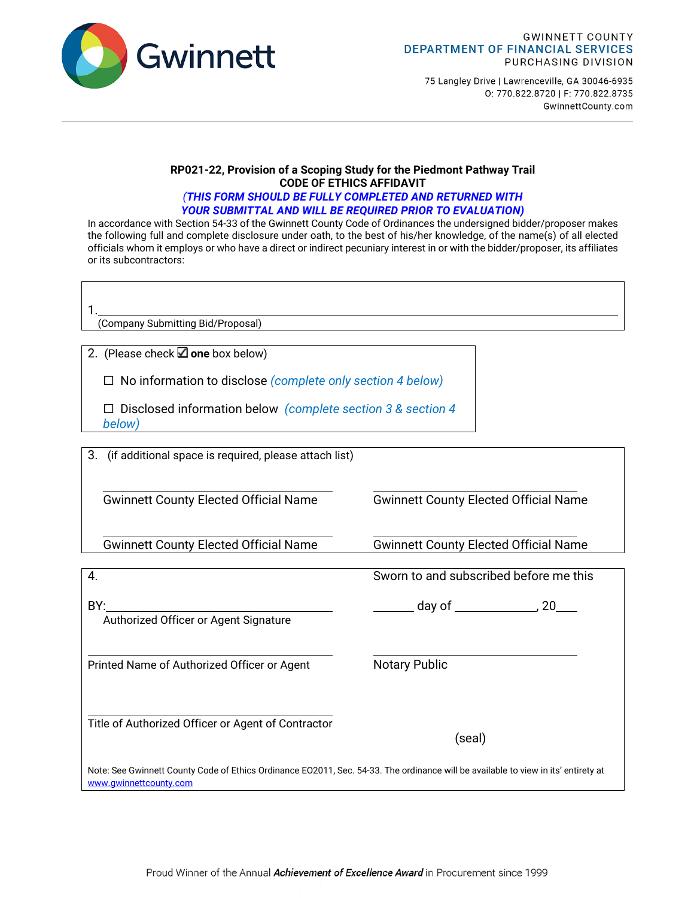

75 Langley Drive | Lawrenceville, GA 30046-6935 0: 770.822.8720 | F: 770.822.8735 GwinnettCounty.com

### **RP021-22, Provision of a Scoping Study for the Piedmont Pathway Trail CODE OF ETHICS AFFIDAVIT**

#### *(THIS FORM SHOULD BE FULLY COMPLETED AND RETURNED WITH YOUR SUBMITTAL AND WILL BE REQUIRED PRIOR TO EVALUATION)*

In accordance with Section 54-33 of the Gwinnett County Code of Ordinances the undersigned bidder/proposer makes the following full and complete disclosure under oath, to the best of his/her knowledge, of the name(s) of all elected officials whom it employs or who have a direct or indirect pecuniary interest in or with the bidder/proposer, its affiliates or its subcontractors:

1.

(Company Submitting Bid/Proposal)

2. (Please check  $\Box$  one box below)

No information to disclose *(complete only section 4 below)*

 Disclosed information below *(complete section 3 & section 4 below)*

3. (if additional space is required, please attach list)

Gwinnett County Elected Official Name Gwinnett County Elected Official Name

Gwinnett County Elected Official Name Gwinnett County Elected Official Name

| 4.                                                                                                                                                           | Sworn to and subscribed before me this              |
|--------------------------------------------------------------------------------------------------------------------------------------------------------------|-----------------------------------------------------|
| BY:<br>Authorized Officer or Agent Signature                                                                                                                 | $\qquad \qquad$ day of $\qquad \qquad \qquad$<br>20 |
| Printed Name of Authorized Officer or Agent                                                                                                                  | <b>Notary Public</b>                                |
| Title of Authorized Officer or Agent of Contractor                                                                                                           | (seal)                                              |
| Note: See Gwinnett County Code of Ethics Ordinance EO2011, Sec. 54-33. The ordinance will be available to view in its' entirety at<br>www.gwinnettcounty.com |                                                     |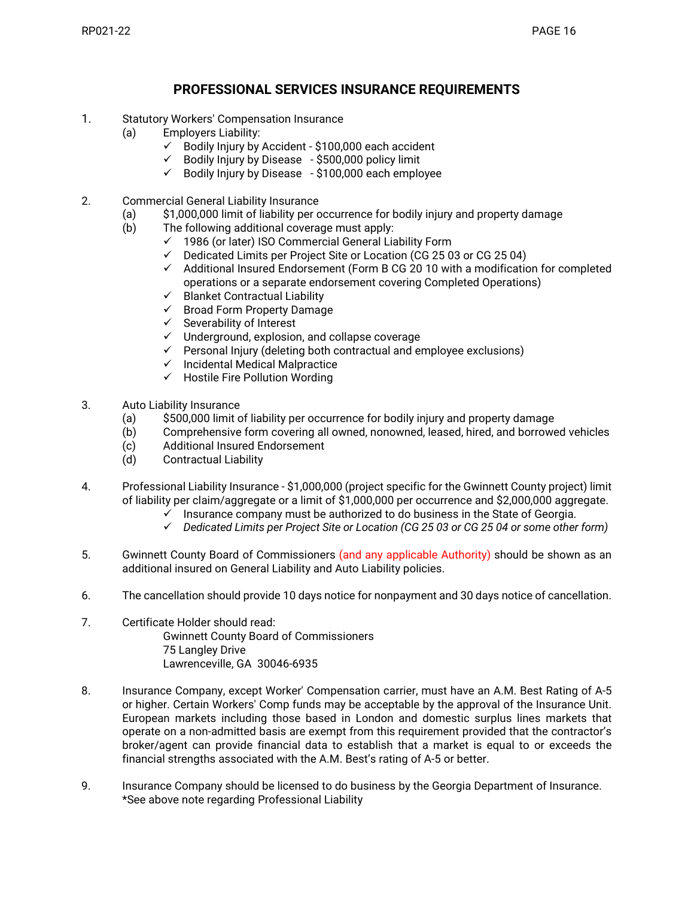## **PROFESSIONAL SERVICES INSURANCE REQUIREMENTS**

- 1. Statutory Workers' Compensation Insurance
	- (a) Employers Liability:
		- $\checkmark$  Bodily Injury by Accident \$100,000 each accident
		- Bodily Injury by Disease \$500,000 policy limit
		- Bodily Injury by Disease \$100,000 each employee
- 2. Commercial General Liability Insurance
	- (a) \$1,000,000 limit of liability per occurrence for bodily injury and property damage
	- (b) The following additional coverage must apply:
		- $\checkmark$  1986 (or later) ISO Commercial General Liability Form
		- $\checkmark$  Dedicated Limits per Project Site or Location (CG 25 03 or CG 25 04)
		- $\checkmark$  Additional Insured Endorsement (Form B CG 20 10 with a modification for completed operations or a separate endorsement covering Completed Operations)
		- $\checkmark$  Blanket Contractual Liability
		- $\checkmark$  Broad Form Property Damage
		- $\checkmark$  Severability of Interest
		- $\checkmark$  Underground, explosion, and collapse coverage
		- $\checkmark$  Personal Injury (deleting both contractual and employee exclusions)
		- $\checkmark$  Incidental Medical Malpractice
		- $\checkmark$  Hostile Fire Pollution Wording
- 3. Auto Liability Insurance
	- (a) \$500,000 limit of liability per occurrence for bodily injury and property damage
	- (b) Comprehensive form covering all owned, nonowned, leased, hired, and borrowed vehicles
	- (c) Additional Insured Endorsement
	- (d) Contractual Liability
- 4. Professional Liability Insurance \$1,000,000 (project specific for the Gwinnett County project) limit of liability per claim/aggregate or a limit of \$1,000,000 per occurrence and \$2,000,000 aggregate.
	- $\checkmark$  Insurance company must be authorized to do business in the State of Georgia.
	- *Dedicated Limits per Project Site or Location (CG 25 03 or CG 25 04 or some other form)*
- 5. Gwinnett County Board of Commissioners (and any applicable Authority) should be shown as an additional insured on General Liability and Auto Liability policies.
- 6. The cancellation should provide 10 days notice for nonpayment and 30 days notice of cancellation.
- 7. Certificate Holder should read: Gwinnett County Board of Commissioners 75 Langley Drive Lawrenceville, GA 30046-6935
- 8. Insurance Company, except Worker' Compensation carrier, must have an A.M. Best Rating of A-5 or higher. Certain Workers' Comp funds may be acceptable by the approval of the Insurance Unit. European markets including those based in London and domestic surplus lines markets that operate on a non-admitted basis are exempt from this requirement provided that the contractor's broker/agent can provide financial data to establish that a market is equal to or exceeds the financial strengths associated with the A.M. Best's rating of A-5 or better.
- 9. Insurance Company should be licensed to do business by the Georgia Department of Insurance. \*See above note regarding Professional Liability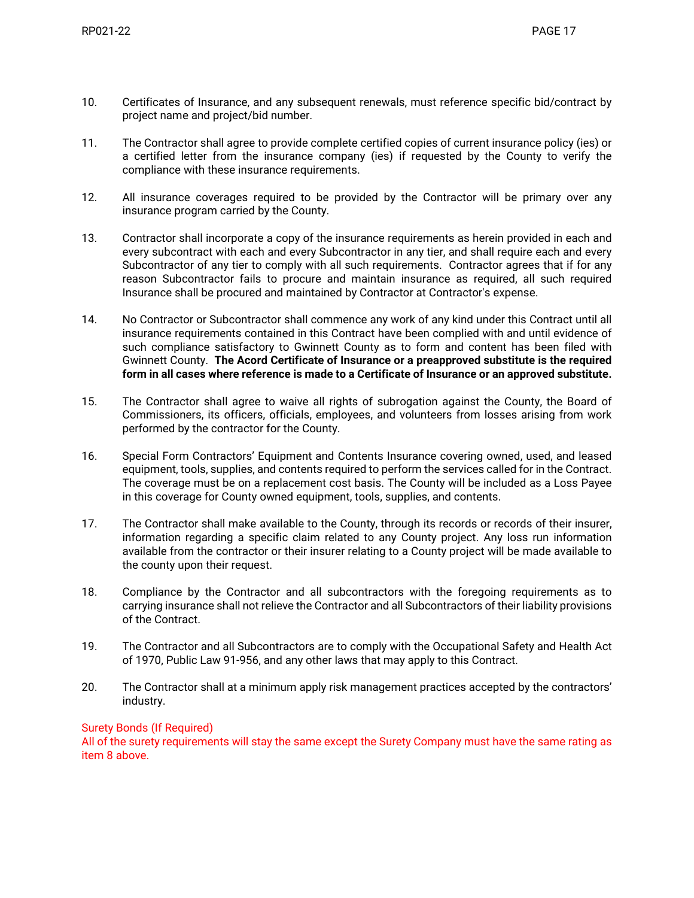- 10. Certificates of Insurance, and any subsequent renewals, must reference specific bid/contract by project name and project/bid number.
- 11. The Contractor shall agree to provide complete certified copies of current insurance policy (ies) or a certified letter from the insurance company (ies) if requested by the County to verify the compliance with these insurance requirements.
- 12. All insurance coverages required to be provided by the Contractor will be primary over any insurance program carried by the County.
- 13. Contractor shall incorporate a copy of the insurance requirements as herein provided in each and every subcontract with each and every Subcontractor in any tier, and shall require each and every Subcontractor of any tier to comply with all such requirements. Contractor agrees that if for any reason Subcontractor fails to procure and maintain insurance as required, all such required Insurance shall be procured and maintained by Contractor at Contractor's expense.
- 14. No Contractor or Subcontractor shall commence any work of any kind under this Contract until all insurance requirements contained in this Contract have been complied with and until evidence of such compliance satisfactory to Gwinnett County as to form and content has been filed with Gwinnett County. **The Acord Certificate of Insurance or a preapproved substitute is the required form in all cases where reference is made to a Certificate of Insurance or an approved substitute.**
- 15. The Contractor shall agree to waive all rights of subrogation against the County, the Board of Commissioners, its officers, officials, employees, and volunteers from losses arising from work performed by the contractor for the County.
- 16. Special Form Contractors' Equipment and Contents Insurance covering owned, used, and leased equipment, tools, supplies, and contents required to perform the services called for in the Contract. The coverage must be on a replacement cost basis. The County will be included as a Loss Payee in this coverage for County owned equipment, tools, supplies, and contents.
- 17. The Contractor shall make available to the County, through its records or records of their insurer, information regarding a specific claim related to any County project. Any loss run information available from the contractor or their insurer relating to a County project will be made available to the county upon their request.
- 18. Compliance by the Contractor and all subcontractors with the foregoing requirements as to carrying insurance shall not relieve the Contractor and all Subcontractors of their liability provisions of the Contract.
- 19. The Contractor and all Subcontractors are to comply with the Occupational Safety and Health Act of 1970, Public Law 91-956, and any other laws that may apply to this Contract.
- 20. The Contractor shall at a minimum apply risk management practices accepted by the contractors' industry.

### Surety Bonds (If Required)

All of the surety requirements will stay the same except the Surety Company must have the same rating as item 8 above.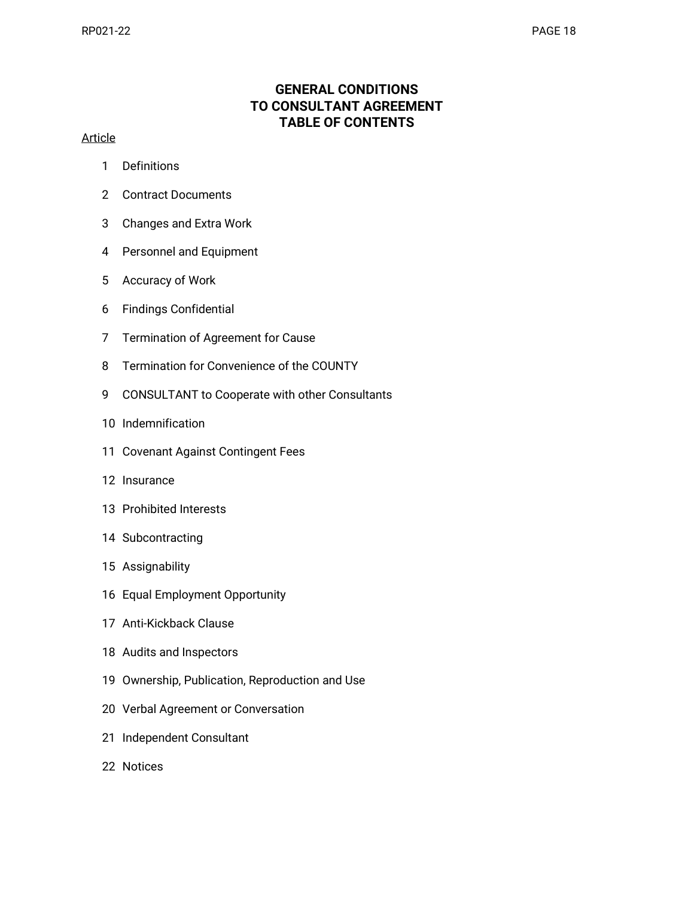# **GENERAL CONDITIONS TO CONSULTANT AGREEMENT TABLE OF CONTENTS**

### **Article**

- Definitions
- Contract Documents
- Changes and Extra Work
- Personnel and Equipment
- Accuracy of Work
- Findings Confidential
- Termination of Agreement for Cause
- Termination for Convenience of the COUNTY
- CONSULTANT to Cooperate with other Consultants
- Indemnification
- Covenant Against Contingent Fees
- Insurance
- Prohibited Interests
- Subcontracting
- Assignability
- Equal Employment Opportunity
- Anti-Kickback Clause
- Audits and Inspectors
- Ownership, Publication, Reproduction and Use
- Verbal Agreement or Conversation
- Independent Consultant
- Notices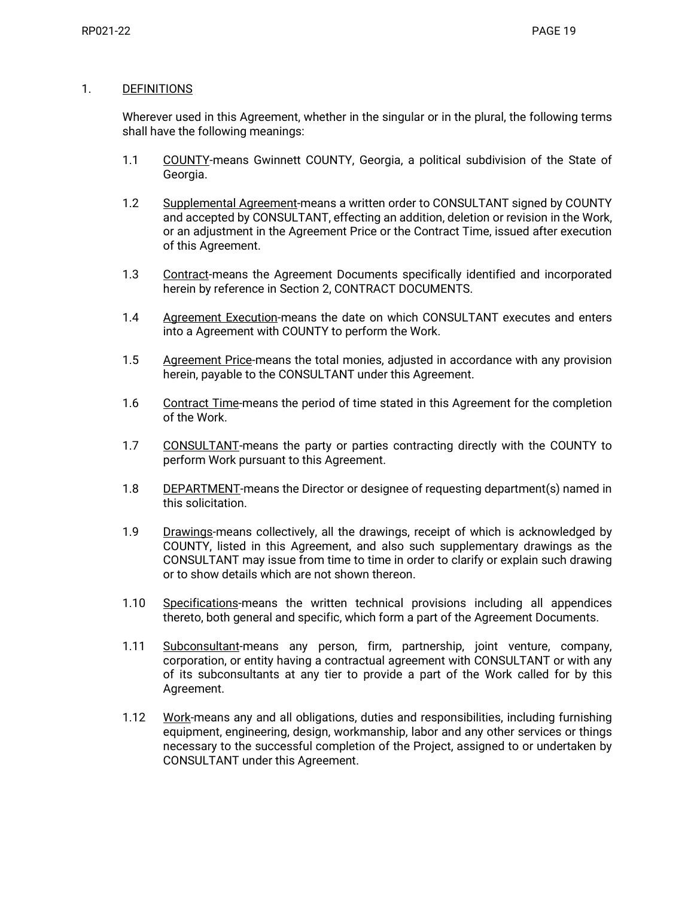#### 1. DEFINITIONS

Wherever used in this Agreement, whether in the singular or in the plural, the following terms shall have the following meanings:

- 1.1 COUNTY-means Gwinnett COUNTY, Georgia, a political subdivision of the State of Georgia.
- 1.2 Supplemental Agreement-means a written order to CONSULTANT signed by COUNTY and accepted by CONSULTANT, effecting an addition, deletion or revision in the Work, or an adjustment in the Agreement Price or the Contract Time, issued after execution of this Agreement.
- 1.3 Contract-means the Agreement Documents specifically identified and incorporated herein by reference in Section 2, CONTRACT DOCUMENTS.
- 1.4 Agreement Execution-means the date on which CONSULTANT executes and enters into a Agreement with COUNTY to perform the Work.
- 1.5 Agreement Price-means the total monies, adjusted in accordance with any provision herein, payable to the CONSULTANT under this Agreement.
- 1.6 Contract Time-means the period of time stated in this Agreement for the completion of the Work.
- 1.7 CONSULTANT-means the party or parties contracting directly with the COUNTY to perform Work pursuant to this Agreement.
- 1.8 DEPARTMENT-means the Director or designee of requesting department(s) named in this solicitation.
- 1.9 Drawings-means collectively, all the drawings, receipt of which is acknowledged by COUNTY, listed in this Agreement, and also such supplementary drawings as the CONSULTANT may issue from time to time in order to clarify or explain such drawing or to show details which are not shown thereon.
- 1.10 Specifications-means the written technical provisions including all appendices thereto, both general and specific, which form a part of the Agreement Documents.
- 1.11 Subconsultant-means any person, firm, partnership, joint venture, company, corporation, or entity having a contractual agreement with CONSULTANT or with any of its subconsultants at any tier to provide a part of the Work called for by this Agreement.
- 1.12 Work-means any and all obligations, duties and responsibilities, including furnishing equipment, engineering, design, workmanship, labor and any other services or things necessary to the successful completion of the Project, assigned to or undertaken by CONSULTANT under this Agreement.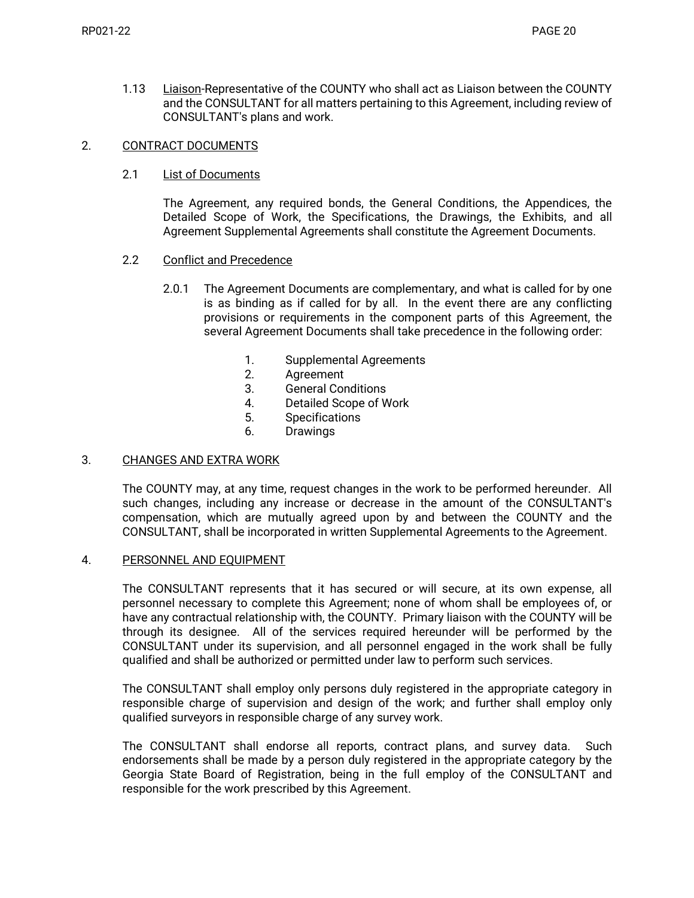1.13 Liaison-Representative of the COUNTY who shall act as Liaison between the COUNTY and the CONSULTANT for all matters pertaining to this Agreement, including review of CONSULTANT's plans and work.

#### 2. CONTRACT DOCUMENTS

#### 2.1 List of Documents

The Agreement, any required bonds, the General Conditions, the Appendices, the Detailed Scope of Work, the Specifications, the Drawings, the Exhibits, and all Agreement Supplemental Agreements shall constitute the Agreement Documents.

#### 2.2 Conflict and Precedence

- 2.0.1 The Agreement Documents are complementary, and what is called for by one is as binding as if called for by all. In the event there are any conflicting provisions or requirements in the component parts of this Agreement, the several Agreement Documents shall take precedence in the following order:
	- 1. Supplemental Agreements
	- 2. Agreement
	- 3. General Conditions
	- 4. Detailed Scope of Work
	- 5. Specifications
	- 6. Drawings

#### 3. CHANGES AND EXTRA WORK

The COUNTY may, at any time, request changes in the work to be performed hereunder. All such changes, including any increase or decrease in the amount of the CONSULTANT's compensation, which are mutually agreed upon by and between the COUNTY and the CONSULTANT, shall be incorporated in written Supplemental Agreements to the Agreement.

#### 4. PERSONNEL AND EQUIPMENT

The CONSULTANT represents that it has secured or will secure, at its own expense, all personnel necessary to complete this Agreement; none of whom shall be employees of, or have any contractual relationship with, the COUNTY. Primary liaison with the COUNTY will be through its designee. All of the services required hereunder will be performed by the CONSULTANT under its supervision, and all personnel engaged in the work shall be fully qualified and shall be authorized or permitted under law to perform such services.

The CONSULTANT shall employ only persons duly registered in the appropriate category in responsible charge of supervision and design of the work; and further shall employ only qualified surveyors in responsible charge of any survey work.

The CONSULTANT shall endorse all reports, contract plans, and survey data. Such endorsements shall be made by a person duly registered in the appropriate category by the Georgia State Board of Registration, being in the full employ of the CONSULTANT and responsible for the work prescribed by this Agreement.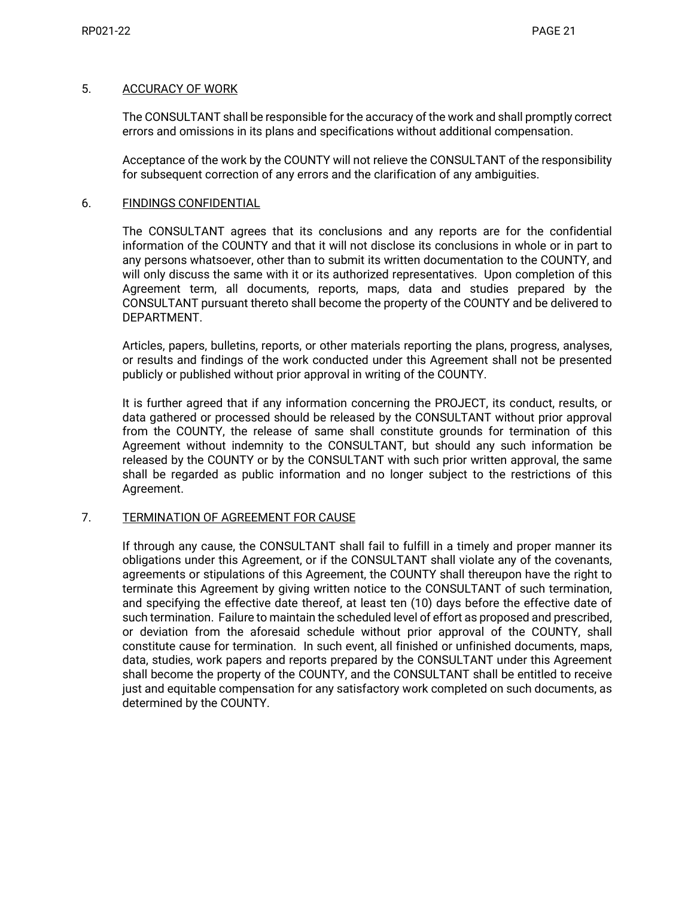#### 5. ACCURACY OF WORK

The CONSULTANT shall be responsible for the accuracy of the work and shall promptly correct errors and omissions in its plans and specifications without additional compensation.

Acceptance of the work by the COUNTY will not relieve the CONSULTANT of the responsibility for subsequent correction of any errors and the clarification of any ambiguities.

#### 6. FINDINGS CONFIDENTIAL

The CONSULTANT agrees that its conclusions and any reports are for the confidential information of the COUNTY and that it will not disclose its conclusions in whole or in part to any persons whatsoever, other than to submit its written documentation to the COUNTY, and will only discuss the same with it or its authorized representatives. Upon completion of this Agreement term, all documents, reports, maps, data and studies prepared by the CONSULTANT pursuant thereto shall become the property of the COUNTY and be delivered to DEPARTMENT.

Articles, papers, bulletins, reports, or other materials reporting the plans, progress, analyses, or results and findings of the work conducted under this Agreement shall not be presented publicly or published without prior approval in writing of the COUNTY.

It is further agreed that if any information concerning the PROJECT, its conduct, results, or data gathered or processed should be released by the CONSULTANT without prior approval from the COUNTY, the release of same shall constitute grounds for termination of this Agreement without indemnity to the CONSULTANT, but should any such information be released by the COUNTY or by the CONSULTANT with such prior written approval, the same shall be regarded as public information and no longer subject to the restrictions of this Agreement.

### 7. TERMINATION OF AGREEMENT FOR CAUSE

If through any cause, the CONSULTANT shall fail to fulfill in a timely and proper manner its obligations under this Agreement, or if the CONSULTANT shall violate any of the covenants, agreements or stipulations of this Agreement, the COUNTY shall thereupon have the right to terminate this Agreement by giving written notice to the CONSULTANT of such termination, and specifying the effective date thereof, at least ten (10) days before the effective date of such termination. Failure to maintain the scheduled level of effort as proposed and prescribed, or deviation from the aforesaid schedule without prior approval of the COUNTY, shall constitute cause for termination. In such event, all finished or unfinished documents, maps, data, studies, work papers and reports prepared by the CONSULTANT under this Agreement shall become the property of the COUNTY, and the CONSULTANT shall be entitled to receive just and equitable compensation for any satisfactory work completed on such documents, as determined by the COUNTY.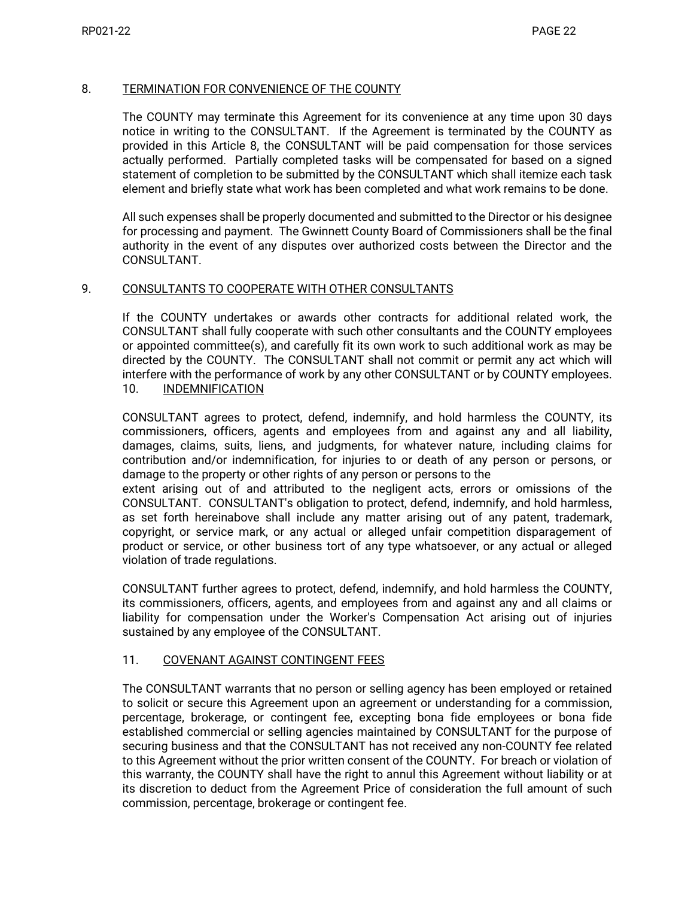### 8. TERMINATION FOR CONVENIENCE OF THE COUNTY

The COUNTY may terminate this Agreement for its convenience at any time upon 30 days notice in writing to the CONSULTANT. If the Agreement is terminated by the COUNTY as provided in this Article 8, the CONSULTANT will be paid compensation for those services actually performed. Partially completed tasks will be compensated for based on a signed statement of completion to be submitted by the CONSULTANT which shall itemize each task element and briefly state what work has been completed and what work remains to be done.

All such expenses shall be properly documented and submitted to the Director or his designee for processing and payment. The Gwinnett County Board of Commissioners shall be the final authority in the event of any disputes over authorized costs between the Director and the CONSULTANT.

#### 9. CONSULTANTS TO COOPERATE WITH OTHER CONSULTANTS

If the COUNTY undertakes or awards other contracts for additional related work, the CONSULTANT shall fully cooperate with such other consultants and the COUNTY employees or appointed committee(s), and carefully fit its own work to such additional work as may be directed by the COUNTY. The CONSULTANT shall not commit or permit any act which will interfere with the performance of work by any other CONSULTANT or by COUNTY employees. 10. INDEMNIFICATION

CONSULTANT agrees to protect, defend, indemnify, and hold harmless the COUNTY, its commissioners, officers, agents and employees from and against any and all liability, damages, claims, suits, liens, and judgments, for whatever nature, including claims for contribution and/or indemnification, for injuries to or death of any person or persons, or damage to the property or other rights of any person or persons to the

extent arising out of and attributed to the negligent acts, errors or omissions of the CONSULTANT. CONSULTANT's obligation to protect, defend, indemnify, and hold harmless, as set forth hereinabove shall include any matter arising out of any patent, trademark, copyright, or service mark, or any actual or alleged unfair competition disparagement of product or service, or other business tort of any type whatsoever, or any actual or alleged violation of trade regulations.

CONSULTANT further agrees to protect, defend, indemnify, and hold harmless the COUNTY, its commissioners, officers, agents, and employees from and against any and all claims or liability for compensation under the Worker's Compensation Act arising out of injuries sustained by any employee of the CONSULTANT.

#### 11. COVENANT AGAINST CONTINGENT FEES

The CONSULTANT warrants that no person or selling agency has been employed or retained to solicit or secure this Agreement upon an agreement or understanding for a commission, percentage, brokerage, or contingent fee, excepting bona fide employees or bona fide established commercial or selling agencies maintained by CONSULTANT for the purpose of securing business and that the CONSULTANT has not received any non-COUNTY fee related to this Agreement without the prior written consent of the COUNTY. For breach or violation of this warranty, the COUNTY shall have the right to annul this Agreement without liability or at its discretion to deduct from the Agreement Price of consideration the full amount of such commission, percentage, brokerage or contingent fee.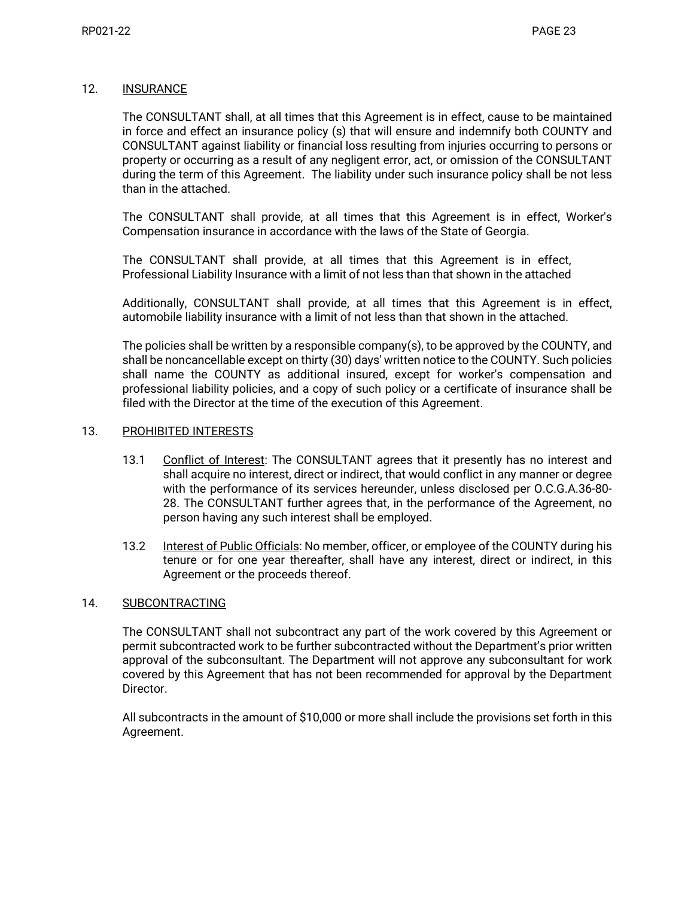#### 12. INSURANCE

The CONSULTANT shall, at all times that this Agreement is in effect, cause to be maintained in force and effect an insurance policy (s) that will ensure and indemnify both COUNTY and CONSULTANT against liability or financial loss resulting from injuries occurring to persons or property or occurring as a result of any negligent error, act, or omission of the CONSULTANT during the term of this Agreement. The liability under such insurance policy shall be not less than in the attached.

The CONSULTANT shall provide, at all times that this Agreement is in effect, Worker's Compensation insurance in accordance with the laws of the State of Georgia.

The CONSULTANT shall provide, at all times that this Agreement is in effect, Professional Liability Insurance with a limit of not less than that shown in the attached

Additionally, CONSULTANT shall provide, at all times that this Agreement is in effect, automobile liability insurance with a limit of not less than that shown in the attached.

The policies shall be written by a responsible company(s), to be approved by the COUNTY, and shall be noncancellable except on thirty (30) days' written notice to the COUNTY. Such policies shall name the COUNTY as additional insured, except for worker's compensation and professional liability policies, and a copy of such policy or a certificate of insurance shall be filed with the Director at the time of the execution of this Agreement.

#### 13. PROHIBITED INTERESTS

- 13.1 Conflict of Interest: The CONSULTANT agrees that it presently has no interest and shall acquire no interest, direct or indirect, that would conflict in any manner or degree with the performance of its services hereunder, unless disclosed per O.C.G.A.36-80- 28. The CONSULTANT further agrees that, in the performance of the Agreement, no person having any such interest shall be employed.
- 13.2 Interest of Public Officials: No member, officer, or employee of the COUNTY during his tenure or for one year thereafter, shall have any interest, direct or indirect, in this Agreement or the proceeds thereof.

### 14. SUBCONTRACTING

The CONSULTANT shall not subcontract any part of the work covered by this Agreement or permit subcontracted work to be further subcontracted without the Department's prior written approval of the subconsultant. The Department will not approve any subconsultant for work covered by this Agreement that has not been recommended for approval by the Department Director.

All subcontracts in the amount of \$10,000 or more shall include the provisions set forth in this Agreement.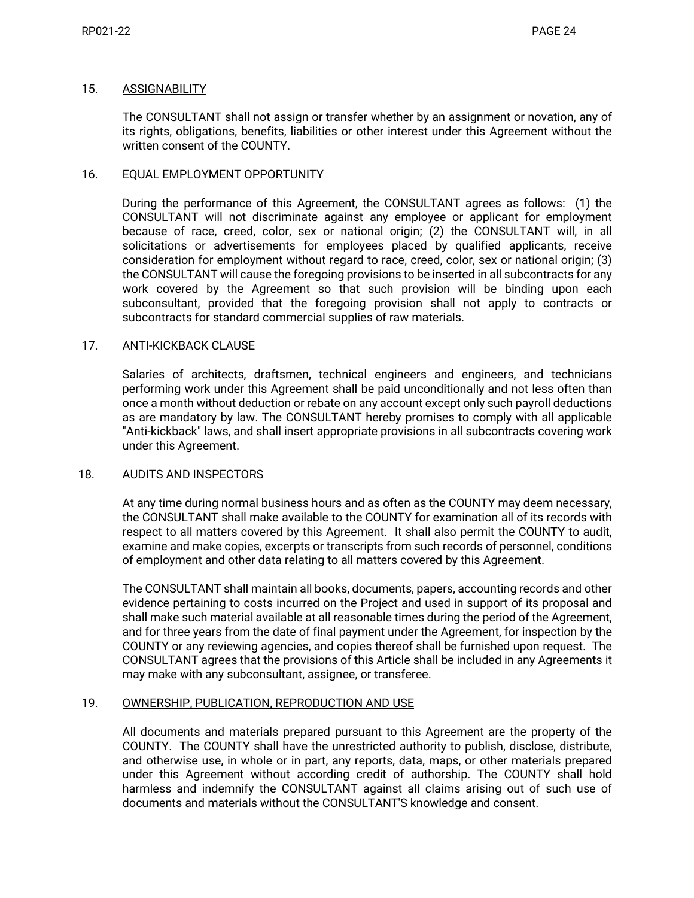#### 15. ASSIGNABILITY

The CONSULTANT shall not assign or transfer whether by an assignment or novation, any of its rights, obligations, benefits, liabilities or other interest under this Agreement without the written consent of the COUNTY.

### 16. EQUAL EMPLOYMENT OPPORTUNITY

During the performance of this Agreement, the CONSULTANT agrees as follows: (1) the CONSULTANT will not discriminate against any employee or applicant for employment because of race, creed, color, sex or national origin; (2) the CONSULTANT will, in all solicitations or advertisements for employees placed by qualified applicants, receive consideration for employment without regard to race, creed, color, sex or national origin; (3) the CONSULTANT will cause the foregoing provisions to be inserted in all subcontracts for any work covered by the Agreement so that such provision will be binding upon each subconsultant, provided that the foregoing provision shall not apply to contracts or subcontracts for standard commercial supplies of raw materials.

### 17. ANTI-KICKBACK CLAUSE

Salaries of architects, draftsmen, technical engineers and engineers, and technicians performing work under this Agreement shall be paid unconditionally and not less often than once a month without deduction or rebate on any account except only such payroll deductions as are mandatory by law. The CONSULTANT hereby promises to comply with all applicable "Anti-kickback" laws, and shall insert appropriate provisions in all subcontracts covering work under this Agreement.

#### 18. AUDITS AND INSPECTORS

At any time during normal business hours and as often as the COUNTY may deem necessary, the CONSULTANT shall make available to the COUNTY for examination all of its records with respect to all matters covered by this Agreement. It shall also permit the COUNTY to audit, examine and make copies, excerpts or transcripts from such records of personnel, conditions of employment and other data relating to all matters covered by this Agreement.

The CONSULTANT shall maintain all books, documents, papers, accounting records and other evidence pertaining to costs incurred on the Project and used in support of its proposal and shall make such material available at all reasonable times during the period of the Agreement, and for three years from the date of final payment under the Agreement, for inspection by the COUNTY or any reviewing agencies, and copies thereof shall be furnished upon request. The CONSULTANT agrees that the provisions of this Article shall be included in any Agreements it may make with any subconsultant, assignee, or transferee.

### 19. OWNERSHIP, PUBLICATION, REPRODUCTION AND USE

All documents and materials prepared pursuant to this Agreement are the property of the COUNTY. The COUNTY shall have the unrestricted authority to publish, disclose, distribute, and otherwise use, in whole or in part, any reports, data, maps, or other materials prepared under this Agreement without according credit of authorship. The COUNTY shall hold harmless and indemnify the CONSULTANT against all claims arising out of such use of documents and materials without the CONSULTANT'S knowledge and consent.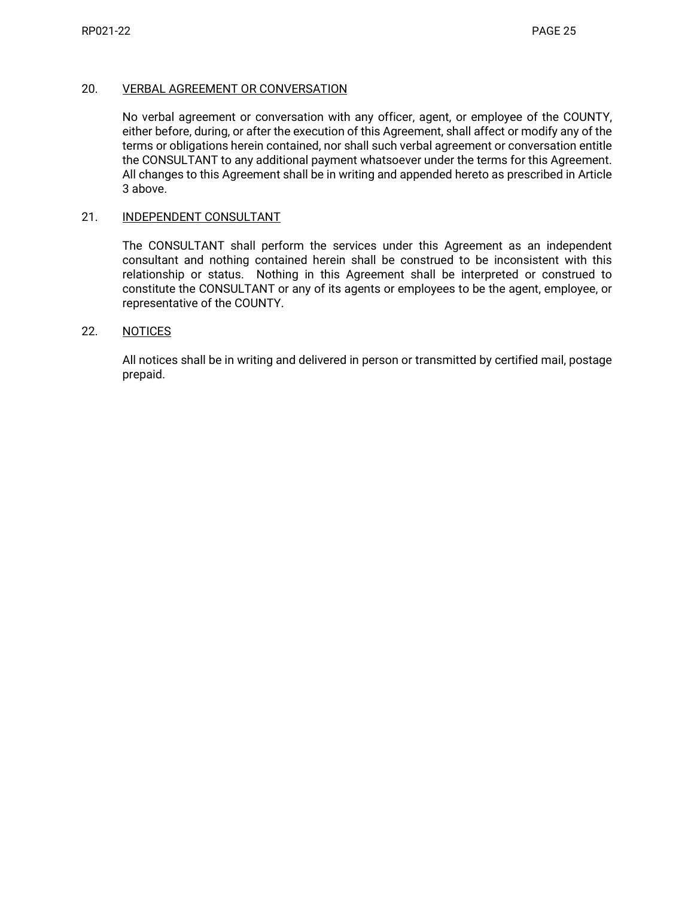### 20. VERBAL AGREEMENT OR CONVERSATION

No verbal agreement or conversation with any officer, agent, or employee of the COUNTY, either before, during, or after the execution of this Agreement, shall affect or modify any of the terms or obligations herein contained, nor shall such verbal agreement or conversation entitle the CONSULTANT to any additional payment whatsoever under the terms for this Agreement. All changes to this Agreement shall be in writing and appended hereto as prescribed in Article 3 above.

#### 21. INDEPENDENT CONSULTANT

The CONSULTANT shall perform the services under this Agreement as an independent consultant and nothing contained herein shall be construed to be inconsistent with this relationship or status. Nothing in this Agreement shall be interpreted or construed to constitute the CONSULTANT or any of its agents or employees to be the agent, employee, or representative of the COUNTY.

#### 22. NOTICES

All notices shall be in writing and delivered in person or transmitted by certified mail, postage prepaid.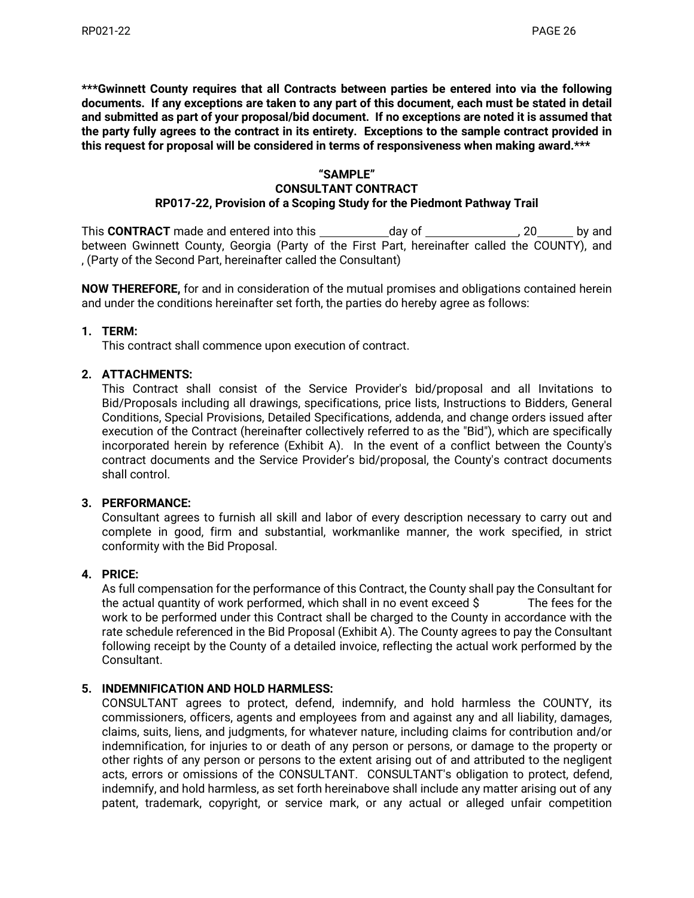**\*\*\*Gwinnett County requires that all Contracts between parties be entered into via the following documents. If any exceptions are taken to any part of this document, each must be stated in detail and submitted as part of your proposal/bid document. If no exceptions are noted it is assumed that the party fully agrees to the contract in its entirety. Exceptions to the sample contract provided in this request for proposal will be considered in terms of responsiveness when making award.\*\*\***

### **"SAMPLE"**

### **CONSULTANT CONTRACT**

## **RP017-22, Provision of a Scoping Study for the Piedmont Pathway Trail**

This **CONTRACT** made and entered into this day of this control of the control of the pand between Gwinnett County, Georgia (Party of the First Part, hereinafter called the COUNTY), and , (Party of the Second Part, hereinafter called the Consultant)

**NOW THEREFORE,** for and in consideration of the mutual promises and obligations contained herein and under the conditions hereinafter set forth, the parties do hereby agree as follows:

### **1. TERM:**

This contract shall commence upon execution of contract.

### **2. ATTACHMENTS:**

This Contract shall consist of the Service Provider's bid/proposal and all Invitations to Bid/Proposals including all drawings, specifications, price lists, Instructions to Bidders, General Conditions, Special Provisions, Detailed Specifications, addenda, and change orders issued after execution of the Contract (hereinafter collectively referred to as the "Bid"), which are specifically incorporated herein by reference (Exhibit A). In the event of a conflict between the County's contract documents and the Service Provider's bid/proposal, the County's contract documents shall control.

#### **3. PERFORMANCE:**

Consultant agrees to furnish all skill and labor of every description necessary to carry out and complete in good, firm and substantial, workmanlike manner, the work specified, in strict conformity with the Bid Proposal.

#### **4. PRICE:**

As full compensation for the performance of this Contract, the County shall pay the Consultant for the actual quantity of work performed, which shall in no event exceed \$ The fees for the work to be performed under this Contract shall be charged to the County in accordance with the rate schedule referenced in the Bid Proposal (Exhibit A). The County agrees to pay the Consultant following receipt by the County of a detailed invoice, reflecting the actual work performed by the Consultant.

### **5. INDEMNIFICATION AND HOLD HARMLESS:**

CONSULTANT agrees to protect, defend, indemnify, and hold harmless the COUNTY, its commissioners, officers, agents and employees from and against any and all liability, damages, claims, suits, liens, and judgments, for whatever nature, including claims for contribution and/or indemnification, for injuries to or death of any person or persons, or damage to the property or other rights of any person or persons to the extent arising out of and attributed to the negligent acts, errors or omissions of the CONSULTANT. CONSULTANT's obligation to protect, defend, indemnify, and hold harmless, as set forth hereinabove shall include any matter arising out of any patent, trademark, copyright, or service mark, or any actual or alleged unfair competition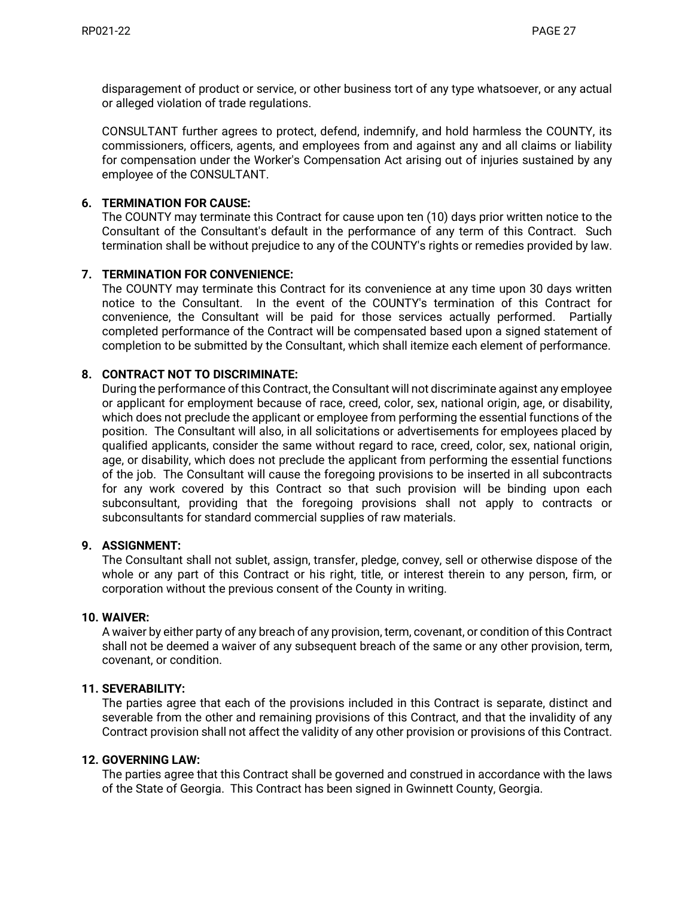disparagement of product or service, or other business tort of any type whatsoever, or any actual or alleged violation of trade regulations.

CONSULTANT further agrees to protect, defend, indemnify, and hold harmless the COUNTY, its commissioners, officers, agents, and employees from and against any and all claims or liability for compensation under the Worker's Compensation Act arising out of injuries sustained by any employee of the CONSULTANT.

### **6. TERMINATION FOR CAUSE:**

The COUNTY may terminate this Contract for cause upon ten (10) days prior written notice to the Consultant of the Consultant's default in the performance of any term of this Contract. Such termination shall be without prejudice to any of the COUNTY's rights or remedies provided by law.

### **7. TERMINATION FOR CONVENIENCE:**

The COUNTY may terminate this Contract for its convenience at any time upon 30 days written notice to the Consultant. In the event of the COUNTY's termination of this Contract for convenience, the Consultant will be paid for those services actually performed. Partially completed performance of the Contract will be compensated based upon a signed statement of completion to be submitted by the Consultant, which shall itemize each element of performance.

### **8. CONTRACT NOT TO DISCRIMINATE:**

During the performance of this Contract, the Consultant will not discriminate against any employee or applicant for employment because of race, creed, color, sex, national origin, age, or disability, which does not preclude the applicant or employee from performing the essential functions of the position. The Consultant will also, in all solicitations or advertisements for employees placed by qualified applicants, consider the same without regard to race, creed, color, sex, national origin, age, or disability, which does not preclude the applicant from performing the essential functions of the job. The Consultant will cause the foregoing provisions to be inserted in all subcontracts for any work covered by this Contract so that such provision will be binding upon each subconsultant, providing that the foregoing provisions shall not apply to contracts or subconsultants for standard commercial supplies of raw materials.

#### **9. ASSIGNMENT:**

The Consultant shall not sublet, assign, transfer, pledge, convey, sell or otherwise dispose of the whole or any part of this Contract or his right, title, or interest therein to any person, firm, or corporation without the previous consent of the County in writing.

#### **10. WAIVER:**

A waiver by either party of any breach of any provision, term, covenant, or condition of this Contract shall not be deemed a waiver of any subsequent breach of the same or any other provision, term, covenant, or condition.

#### **11. SEVERABILITY:**

The parties agree that each of the provisions included in this Contract is separate, distinct and severable from the other and remaining provisions of this Contract, and that the invalidity of any Contract provision shall not affect the validity of any other provision or provisions of this Contract.

#### **12. GOVERNING LAW:**

The parties agree that this Contract shall be governed and construed in accordance with the laws of the State of Georgia. This Contract has been signed in Gwinnett County, Georgia.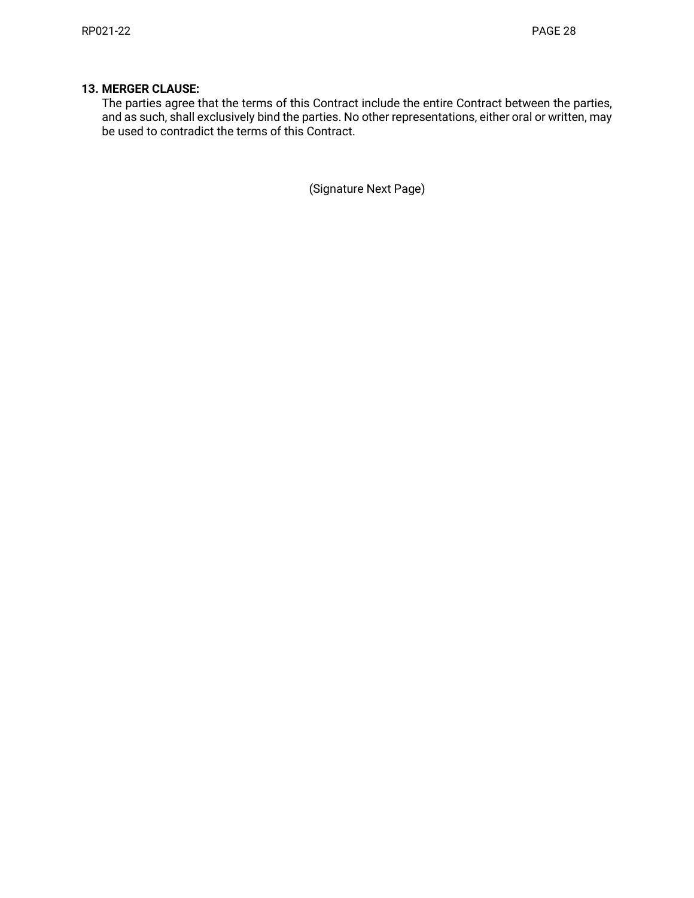## **13. MERGER CLAUSE:**

The parties agree that the terms of this Contract include the entire Contract between the parties, and as such, shall exclusively bind the parties. No other representations, either oral or written, may be used to contradict the terms of this Contract.

(Signature Next Page)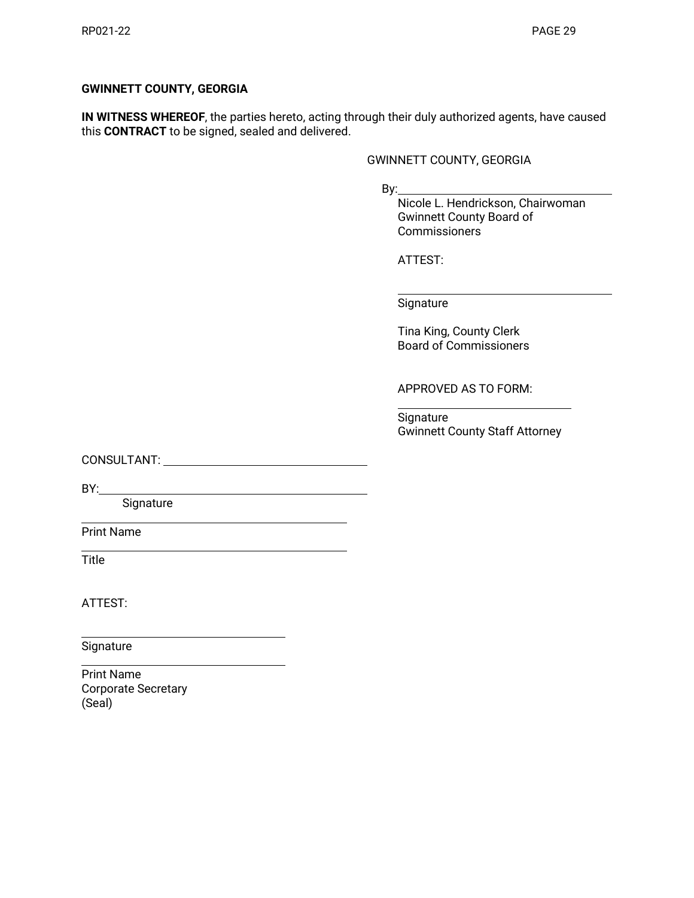### **GWINNETT COUNTY, GEORGIA**

**IN WITNESS WHEREOF**, the parties hereto, acting through their duly authorized agents, have caused this **CONTRACT** to be signed, sealed and delivered.

#### GWINNETT COUNTY, GEORGIA

By:

Nicole L. Hendrickson, Chairwoman Gwinnett County Board of **Commissioners** 

ATTEST:

**Signature** 

Tina King, County Clerk Board of Commissioners

APPROVED AS TO FORM:

Signature Gwinnett County Staff Attorney

CONSULTANT:

BY:

Signature

Print Name

**Title** 

ATTEST:

Signature

Print Name Corporate Secretary (Seal)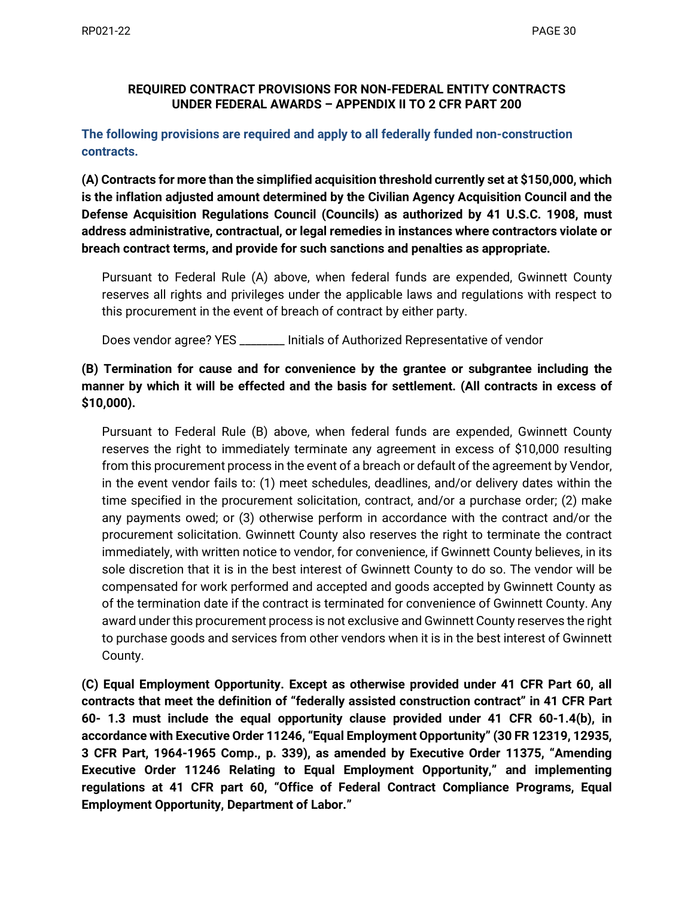## **REQUIRED CONTRACT PROVISIONS FOR NON-FEDERAL ENTITY CONTRACTS UNDER FEDERAL AWARDS – APPENDIX II TO 2 CFR PART 200**

# **The following provisions are required and apply to all federally funded non-construction contracts.**

**(A) Contracts for more than the simplified acquisition threshold currently set at \$150,000, which is the inflation adjusted amount determined by the Civilian Agency Acquisition Council and the Defense Acquisition Regulations Council (Councils) as authorized by 41 U.S.C. 1908, must address administrative, contractual, or legal remedies in instances where contractors violate or breach contract terms, and provide for such sanctions and penalties as appropriate.** 

Pursuant to Federal Rule (A) above, when federal funds are expended, Gwinnett County reserves all rights and privileges under the applicable laws and regulations with respect to this procurement in the event of breach of contract by either party.

Does vendor agree? YES \_\_\_\_\_\_\_\_ Initials of Authorized Representative of vendor

# **(B) Termination for cause and for convenience by the grantee or subgrantee including the manner by which it will be effected and the basis for settlement. (All contracts in excess of \$10,000).**

Pursuant to Federal Rule (B) above, when federal funds are expended, Gwinnett County reserves the right to immediately terminate any agreement in excess of \$10,000 resulting from this procurement process in the event of a breach or default of the agreement by Vendor, in the event vendor fails to: (1) meet schedules, deadlines, and/or delivery dates within the time specified in the procurement solicitation, contract, and/or a purchase order; (2) make any payments owed; or (3) otherwise perform in accordance with the contract and/or the procurement solicitation. Gwinnett County also reserves the right to terminate the contract immediately, with written notice to vendor, for convenience, if Gwinnett County believes, in its sole discretion that it is in the best interest of Gwinnett County to do so. The vendor will be compensated for work performed and accepted and goods accepted by Gwinnett County as of the termination date if the contract is terminated for convenience of Gwinnett County. Any award under this procurement process is not exclusive and Gwinnett County reserves the right to purchase goods and services from other vendors when it is in the best interest of Gwinnett County.

**(C) Equal Employment Opportunity. Except as otherwise provided under 41 CFR Part 60, all contracts that meet the definition of "federally assisted construction contract" in 41 CFR Part 60- 1.3 must include the equal opportunity clause provided under 41 CFR 60-1.4(b), in accordance with Executive Order 11246, "Equal Employment Opportunity" (30 FR 12319, 12935, 3 CFR Part, 1964-1965 Comp., p. 339), as amended by Executive Order 11375, "Amending Executive Order 11246 Relating to Equal Employment Opportunity," and implementing regulations at 41 CFR part 60, "Office of Federal Contract Compliance Programs, Equal Employment Opportunity, Department of Labor."**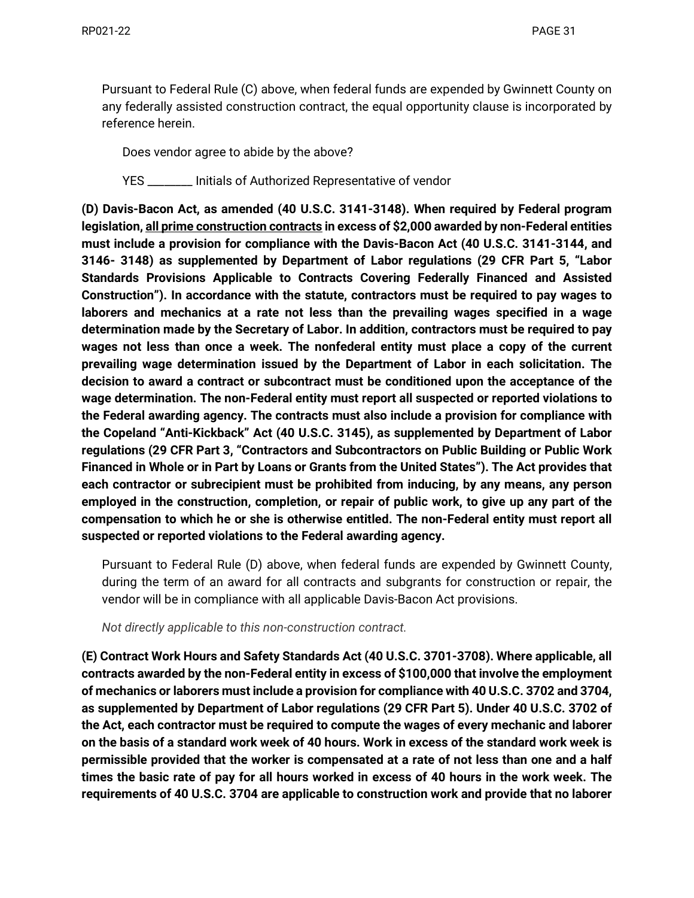Pursuant to Federal Rule (C) above, when federal funds are expended by Gwinnett County on any federally assisted construction contract, the equal opportunity clause is incorporated by reference herein.

Does vendor agree to abide by the above?

YES \_\_\_\_\_\_\_\_ Initials of Authorized Representative of vendor

**(D) Davis-Bacon Act, as amended (40 U.S.C. 3141-3148). When required by Federal program legislation, all prime construction contracts in excess of \$2,000 awarded by non-Federal entities must include a provision for compliance with the Davis-Bacon Act (40 U.S.C. 3141-3144, and 3146- 3148) as supplemented by Department of Labor regulations (29 CFR Part 5, "Labor Standards Provisions Applicable to Contracts Covering Federally Financed and Assisted Construction"). In accordance with the statute, contractors must be required to pay wages to laborers and mechanics at a rate not less than the prevailing wages specified in a wage determination made by the Secretary of Labor. In addition, contractors must be required to pay wages not less than once a week. The nonfederal entity must place a copy of the current prevailing wage determination issued by the Department of Labor in each solicitation. The decision to award a contract or subcontract must be conditioned upon the acceptance of the wage determination. The non-Federal entity must report all suspected or reported violations to the Federal awarding agency. The contracts must also include a provision for compliance with the Copeland "Anti-Kickback" Act (40 U.S.C. 3145), as supplemented by Department of Labor regulations (29 CFR Part 3, "Contractors and Subcontractors on Public Building or Public Work Financed in Whole or in Part by Loans or Grants from the United States"). The Act provides that each contractor or subrecipient must be prohibited from inducing, by any means, any person employed in the construction, completion, or repair of public work, to give up any part of the compensation to which he or she is otherwise entitled. The non-Federal entity must report all suspected or reported violations to the Federal awarding agency.** 

Pursuant to Federal Rule (D) above, when federal funds are expended by Gwinnett County, during the term of an award for all contracts and subgrants for construction or repair, the vendor will be in compliance with all applicable Davis-Bacon Act provisions.

*Not directly applicable to this non-construction contract.*

**(E) Contract Work Hours and Safety Standards Act (40 U.S.C. 3701-3708). Where applicable, all contracts awarded by the non-Federal entity in excess of \$100,000 that involve the employment of mechanics or laborers must include a provision for compliance with 40 U.S.C. 3702 and 3704, as supplemented by Department of Labor regulations (29 CFR Part 5). Under 40 U.S.C. 3702 of the Act, each contractor must be required to compute the wages of every mechanic and laborer on the basis of a standard work week of 40 hours. Work in excess of the standard work week is permissible provided that the worker is compensated at a rate of not less than one and a half times the basic rate of pay for all hours worked in excess of 40 hours in the work week. The requirements of 40 U.S.C. 3704 are applicable to construction work and provide that no laborer**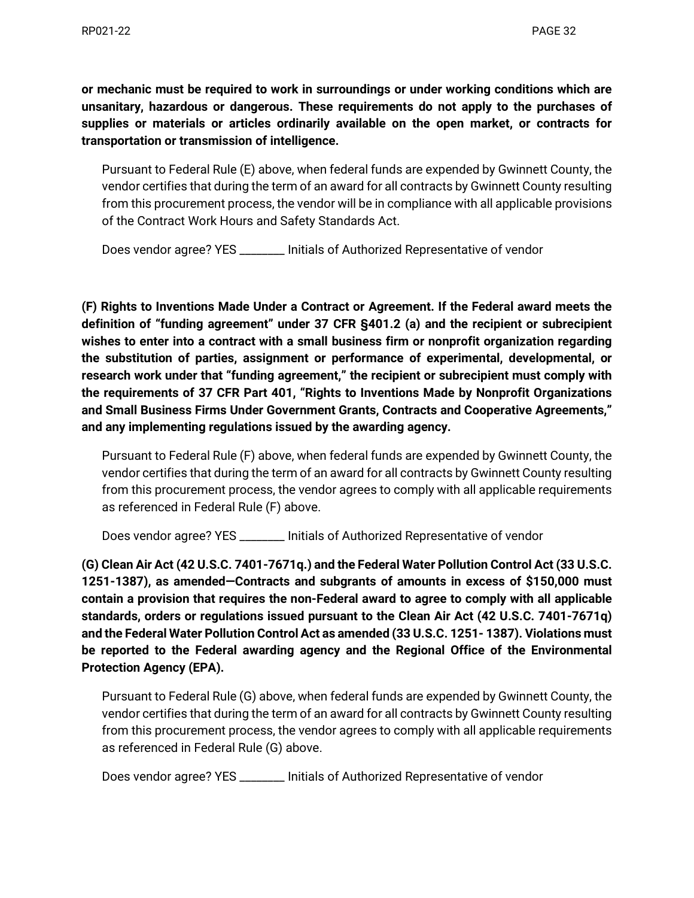**or mechanic must be required to work in surroundings or under working conditions which are unsanitary, hazardous or dangerous. These requirements do not apply to the purchases of supplies or materials or articles ordinarily available on the open market, or contracts for transportation or transmission of intelligence.** 

Pursuant to Federal Rule (E) above, when federal funds are expended by Gwinnett County, the vendor certifies that during the term of an award for all contracts by Gwinnett County resulting from this procurement process, the vendor will be in compliance with all applicable provisions of the Contract Work Hours and Safety Standards Act.

Does vendor agree? YES \_\_\_\_\_\_\_\_ Initials of Authorized Representative of vendor

**(F) Rights to Inventions Made Under a Contract or Agreement. If the Federal award meets the definition of "funding agreement" under 37 CFR §401.2 (a) and the recipient or subrecipient wishes to enter into a contract with a small business firm or nonprofit organization regarding the substitution of parties, assignment or performance of experimental, developmental, or research work under that "funding agreement," the recipient or subrecipient must comply with the requirements of 37 CFR Part 401, "Rights to Inventions Made by Nonprofit Organizations and Small Business Firms Under Government Grants, Contracts and Cooperative Agreements," and any implementing regulations issued by the awarding agency.** 

Pursuant to Federal Rule (F) above, when federal funds are expended by Gwinnett County, the vendor certifies that during the term of an award for all contracts by Gwinnett County resulting from this procurement process, the vendor agrees to comply with all applicable requirements as referenced in Federal Rule (F) above.

Does vendor agree? YES \_\_\_\_\_\_\_\_ Initials of Authorized Representative of vendor

**(G) Clean Air Act (42 U.S.C. 7401-7671q.) and the Federal Water Pollution Control Act (33 U.S.C. 1251-1387), as amended—Contracts and subgrants of amounts in excess of \$150,000 must contain a provision that requires the non-Federal award to agree to comply with all applicable standards, orders or regulations issued pursuant to the Clean Air Act (42 U.S.C. 7401-7671q) and the Federal Water Pollution Control Act as amended (33 U.S.C. 1251- 1387). Violations must be reported to the Federal awarding agency and the Regional Office of the Environmental Protection Agency (EPA).**

Pursuant to Federal Rule (G) above, when federal funds are expended by Gwinnett County, the vendor certifies that during the term of an award for all contracts by Gwinnett County resulting from this procurement process, the vendor agrees to comply with all applicable requirements as referenced in Federal Rule (G) above.

Does vendor agree? YES \_\_\_\_\_\_\_\_ Initials of Authorized Representative of vendor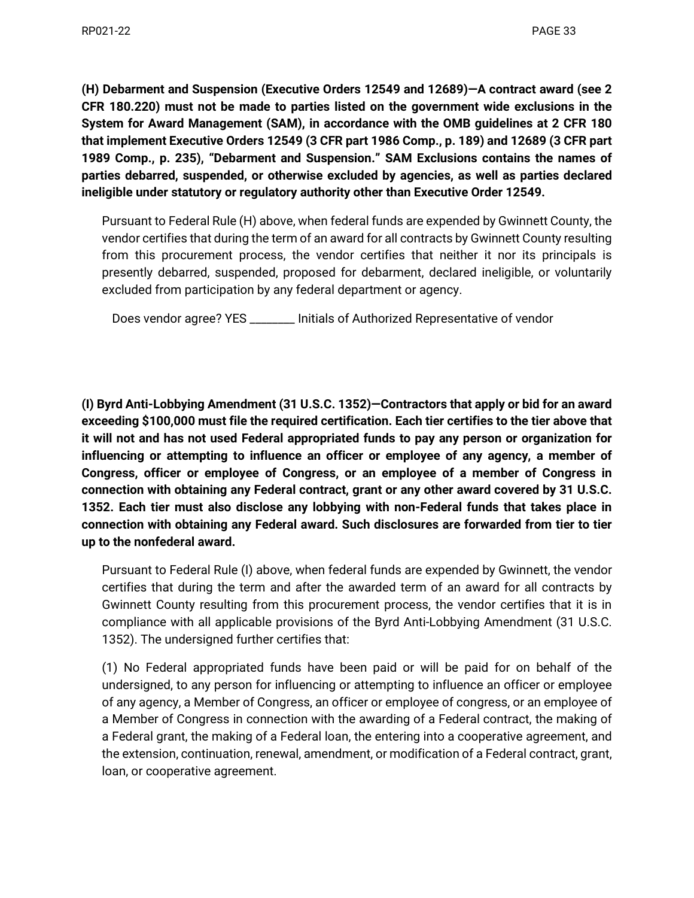**(H) Debarment and Suspension (Executive Orders 12549 and 12689)—A contract award (see 2 CFR 180.220) must not be made to parties listed on the government wide exclusions in the System for Award Management (SAM), in accordance with the OMB guidelines at 2 CFR 180 that implement Executive Orders 12549 (3 CFR part 1986 Comp., p. 189) and 12689 (3 CFR part 1989 Comp., p. 235), "Debarment and Suspension." SAM Exclusions contains the names of parties debarred, suspended, or otherwise excluded by agencies, as well as parties declared ineligible under statutory or regulatory authority other than Executive Order 12549.** 

Pursuant to Federal Rule (H) above, when federal funds are expended by Gwinnett County, the vendor certifies that during the term of an award for all contracts by Gwinnett County resulting from this procurement process, the vendor certifies that neither it nor its principals is presently debarred, suspended, proposed for debarment, declared ineligible, or voluntarily excluded from participation by any federal department or agency.

Does vendor agree? YES \_\_\_\_\_\_\_\_ Initials of Authorized Representative of vendor

**(I) Byrd Anti-Lobbying Amendment (31 U.S.C. 1352)—Contractors that apply or bid for an award exceeding \$100,000 must file the required certification. Each tier certifies to the tier above that it will not and has not used Federal appropriated funds to pay any person or organization for influencing or attempting to influence an officer or employee of any agency, a member of Congress, officer or employee of Congress, or an employee of a member of Congress in connection with obtaining any Federal contract, grant or any other award covered by 31 U.S.C. 1352. Each tier must also disclose any lobbying with non-Federal funds that takes place in connection with obtaining any Federal award. Such disclosures are forwarded from tier to tier up to the nonfederal award.** 

Pursuant to Federal Rule (I) above, when federal funds are expended by Gwinnett, the vendor certifies that during the term and after the awarded term of an award for all contracts by Gwinnett County resulting from this procurement process, the vendor certifies that it is in compliance with all applicable provisions of the Byrd Anti-Lobbying Amendment (31 U.S.C. 1352). The undersigned further certifies that:

(1) No Federal appropriated funds have been paid or will be paid for on behalf of the undersigned, to any person for influencing or attempting to influence an officer or employee of any agency, a Member of Congress, an officer or employee of congress, or an employee of a Member of Congress in connection with the awarding of a Federal contract, the making of a Federal grant, the making of a Federal loan, the entering into a cooperative agreement, and the extension, continuation, renewal, amendment, or modification of a Federal contract, grant, loan, or cooperative agreement.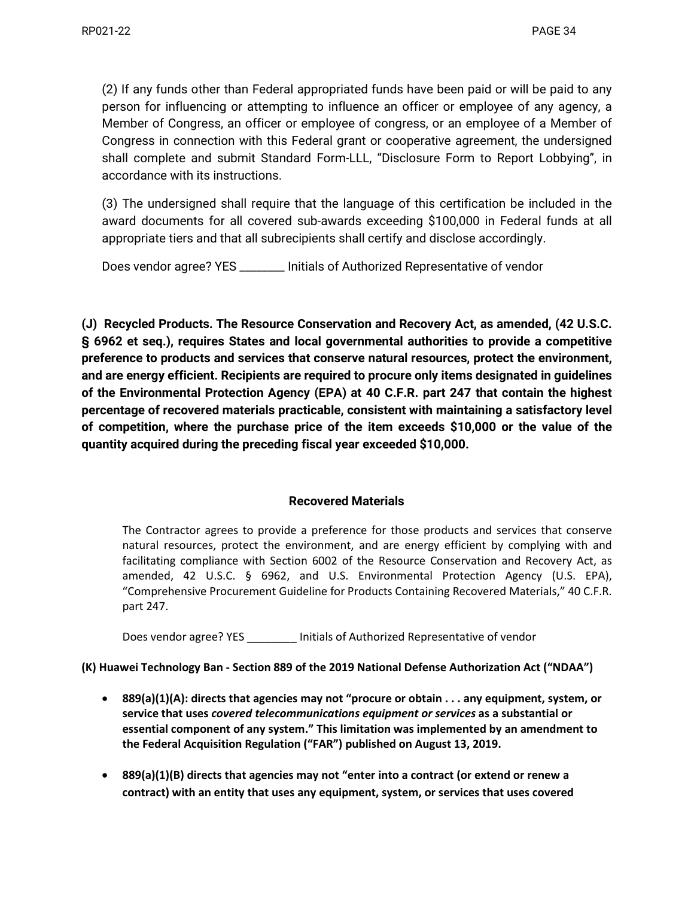(2) If any funds other than Federal appropriated funds have been paid or will be paid to any person for influencing or attempting to influence an officer or employee of any agency, a Member of Congress, an officer or employee of congress, or an employee of a Member of Congress in connection with this Federal grant or cooperative agreement, the undersigned shall complete and submit Standard Form-LLL, "Disclosure Form to Report Lobbying", in accordance with its instructions.

(3) The undersigned shall require that the language of this certification be included in the award documents for all covered sub-awards exceeding \$100,000 in Federal funds at all appropriate tiers and that all subrecipients shall certify and disclose accordingly.

Does vendor agree? YES \_\_\_\_\_\_\_\_ Initials of Authorized Representative of vendor

**(J) Recycled Products. The Resource Conservation and Recovery Act, as amended, (42 U.S.C. § 6962 et seq.), requires States and local governmental authorities to provide a competitive preference to products and services that conserve natural resources, protect the environment, and are energy efficient. Recipients are required to procure only items designated in guidelines of the Environmental Protection Agency (EPA) at 40 C.F.R. part 247 that contain the highest percentage of recovered materials practicable, consistent with maintaining a satisfactory level of competition, where the purchase price of the item exceeds \$10,000 or the value of the quantity acquired during the preceding fiscal year exceeded \$10,000.**

# **Recovered Materials**

The Contractor agrees to provide a preference for those products and services that conserve natural resources, protect the environment, and are energy efficient by complying with and facilitating compliance with Section 6002 of the Resource Conservation and Recovery Act, as amended, 42 U.S.C. § 6962, and U.S. Environmental Protection Agency (U.S. EPA), "Comprehensive Procurement Guideline for Products Containing Recovered Materials," 40 C.F.R. part 247.

Does vendor agree? YES \_\_\_\_\_\_\_\_ Initials of Authorized Representative of vendor

**(K) Huawei Technology Ban - Section 889 of the 2019 National Defense Authorization Act ("NDAA")** 

- **889(a)(1)(A): directs that agencies may not "procure or obtain . . . any equipment, system, or service that uses** *covered telecommunications equipment or services* **as a substantial or essential component of any system." This limitation was implemented by an amendment to the Federal Acquisition Regulation ("FAR") published on August 13, 2019.**
- **889(a)(1)(B) directs that agencies may not "enter into a contract (or extend or renew a contract) with an entity that uses any equipment, system, or services that uses covered**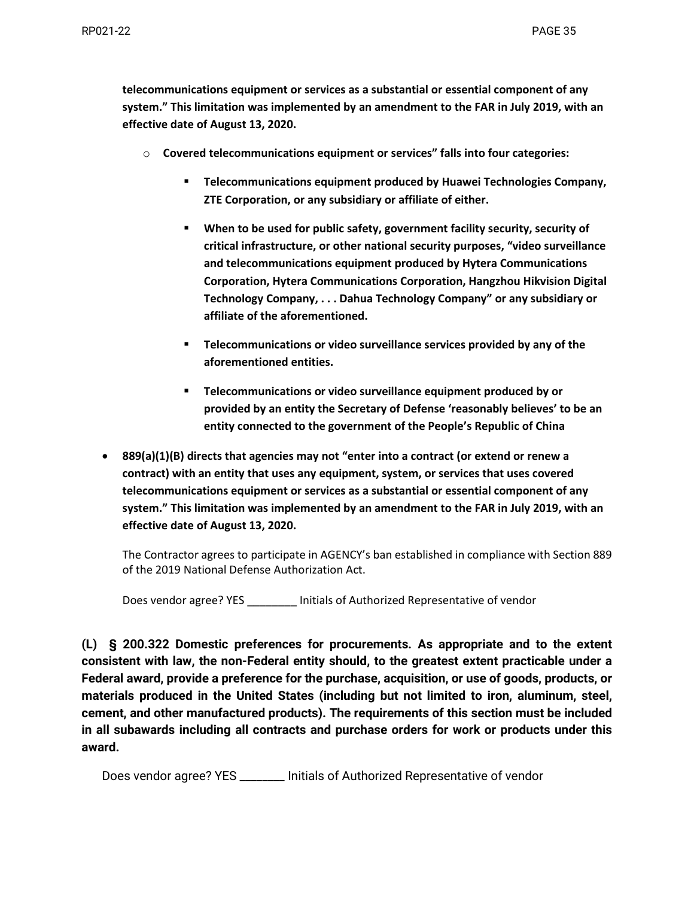**telecommunications equipment or services as a substantial or essential component of any system." This limitation was implemented by an amendment to the FAR in July 2019, with an effective date of August 13, 2020.**

- o **Covered telecommunications equipment or services" falls into four categories:**
	- **Telecommunications equipment produced by Huawei Technologies Company, ZTE Corporation, or any subsidiary or affiliate of either.**
	- **When to be used for public safety, government facility security, security of critical infrastructure, or other national security purposes, "video surveillance and telecommunications equipment produced by Hytera Communications Corporation, Hytera Communications Corporation, Hangzhou Hikvision Digital Technology Company, . . . Dahua Technology Company" or any subsidiary or affiliate of the aforementioned.**
	- **Telecommunications or video surveillance services provided by any of the aforementioned entities.**
	- **Telecommunications or video surveillance equipment produced by or provided by an entity the Secretary of Defense 'reasonably believes' to be an entity connected to the government of the People's Republic of China**
- **889(a)(1)(B) directs that agencies may not "enter into a contract (or extend or renew a contract) with an entity that uses any equipment, system, or services that uses covered telecommunications equipment or services as a substantial or essential component of any system." This limitation was implemented by an amendment to the FAR in July 2019, with an effective date of August 13, 2020.**

The Contractor agrees to participate in AGENCY's ban established in compliance with Section 889 of the 2019 National Defense Authorization Act.

Does vendor agree? YES \_\_\_\_\_\_\_\_ Initials of Authorized Representative of vendor

**(L) [§ 200.322 Domestic preferences for procurements.](https://www.ecfr.gov/current/title-2/section-200.322) As appropriate and to the extent consistent with law, the non-Federal entity should, to the greatest extent practicable under a Federal award, provide a preference for the purchase, acquisition, or use of goods, products, or materials produced in the United States (including but not limited to iron, aluminum, steel, cement, and other manufactured products). The requirements of this section must be included in all subawards including all contracts and purchase orders for work or products under this award.**

Does vendor agree? YES \_\_\_\_\_\_\_\_ Initials of Authorized Representative of vendor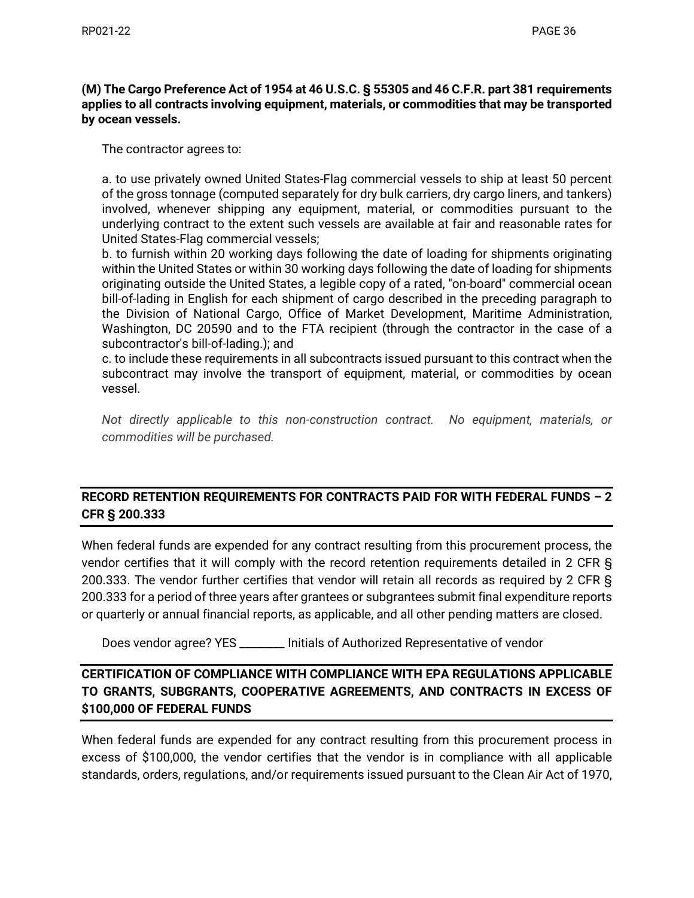### **(M) The Cargo Preference Act of 1954 at 46 U.S.C. § 55305 and 46 C.F.R. part 381 requirements applies to all contracts involving equipment, materials, or commodities that may be transported by ocean vessels.**

The contractor agrees to:

a. to use privately owned United States-Flag commercial vessels to ship at least 50 percent of the gross tonnage (computed separately for dry bulk carriers, dry cargo liners, and tankers) involved, whenever shipping any equipment, material, or commodities pursuant to the underlying contract to the extent such vessels are available at fair and reasonable rates for United States-Flag commercial vessels;

b. to furnish within 20 working days following the date of loading for shipments originating within the United States or within 30 working days following the date of loading for shipments originating outside the United States, a legible copy of a rated, "on-board" commercial ocean bill-of-lading in English for each shipment of cargo described in the preceding paragraph to the Division of National Cargo, Office of Market Development, Maritime Administration, Washington, DC 20590 and to the FTA recipient (through the contractor in the case of a subcontractor's bill-of-lading.); and

c. to include these requirements in all subcontracts issued pursuant to this contract when the subcontract may involve the transport of equipment, material, or commodities by ocean vessel.

*Not directly applicable to this non-construction contract. No equipment, materials, or commodities will be purchased.*

# **RECORD RETENTION REQUIREMENTS FOR CONTRACTS PAID FOR WITH FEDERAL FUNDS – 2 CFR § 200.333**

When federal funds are expended for any contract resulting from this procurement process, the vendor certifies that it will comply with the record retention requirements detailed in 2 CFR § 200.333. The vendor further certifies that vendor will retain all records as required by 2 CFR § 200.333 for a period of three years after grantees or subgrantees submit final expenditure reports or quarterly or annual financial reports, as applicable, and all other pending matters are closed.

Does vendor agree? YES \_\_\_\_\_\_\_\_ Initials of Authorized Representative of vendor

# **CERTIFICATION OF COMPLIANCE WITH COMPLIANCE WITH EPA REGULATIONS APPLICABLE TO GRANTS, SUBGRANTS, COOPERATIVE AGREEMENTS, AND CONTRACTS IN EXCESS OF \$100,000 OF FEDERAL FUNDS**

When federal funds are expended for any contract resulting from this procurement process in excess of \$100,000, the vendor certifies that the vendor is in compliance with all applicable standards, orders, regulations, and/or requirements issued pursuant to the Clean Air Act of 1970,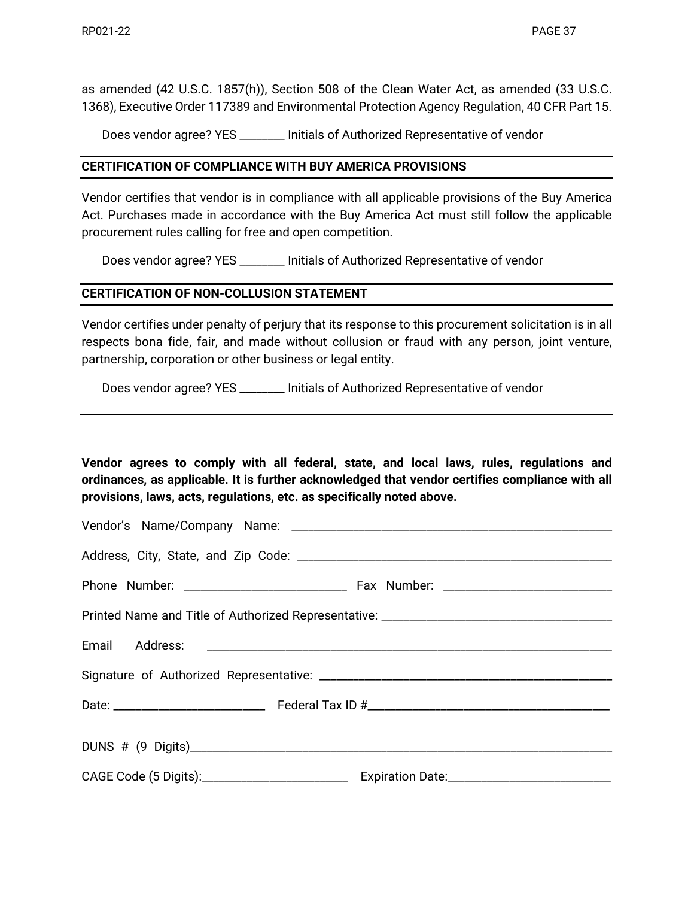as amended (42 U.S.C. 1857(h)), Section 508 of the Clean Water Act, as amended (33 U.S.C. 1368), Executive Order 117389 and Environmental Protection Agency Regulation, 40 CFR Part 15.

Does vendor agree? YES \_\_\_\_\_\_\_\_ Initials of Authorized Representative of vendor

### **CERTIFICATION OF COMPLIANCE WITH BUY AMERICA PROVISIONS**

Vendor certifies that vendor is in compliance with all applicable provisions of the Buy America Act. Purchases made in accordance with the Buy America Act must still follow the applicable procurement rules calling for free and open competition.

Does vendor agree? YES \_\_\_\_\_\_\_\_ Initials of Authorized Representative of vendor

## **CERTIFICATION OF NON-COLLUSION STATEMENT**

Vendor certifies under penalty of perjury that its response to this procurement solicitation is in all respects bona fide, fair, and made without collusion or fraud with any person, joint venture, partnership, corporation or other business or legal entity.

Does vendor agree? YES \_\_\_\_\_\_\_\_ Initials of Authorized Representative of vendor

**Vendor agrees to comply with all federal, state, and local laws, rules, regulations and ordinances, as applicable. It is further acknowledged that vendor certifies compliance with all provisions, laws, acts, regulations, etc. as specifically noted above.**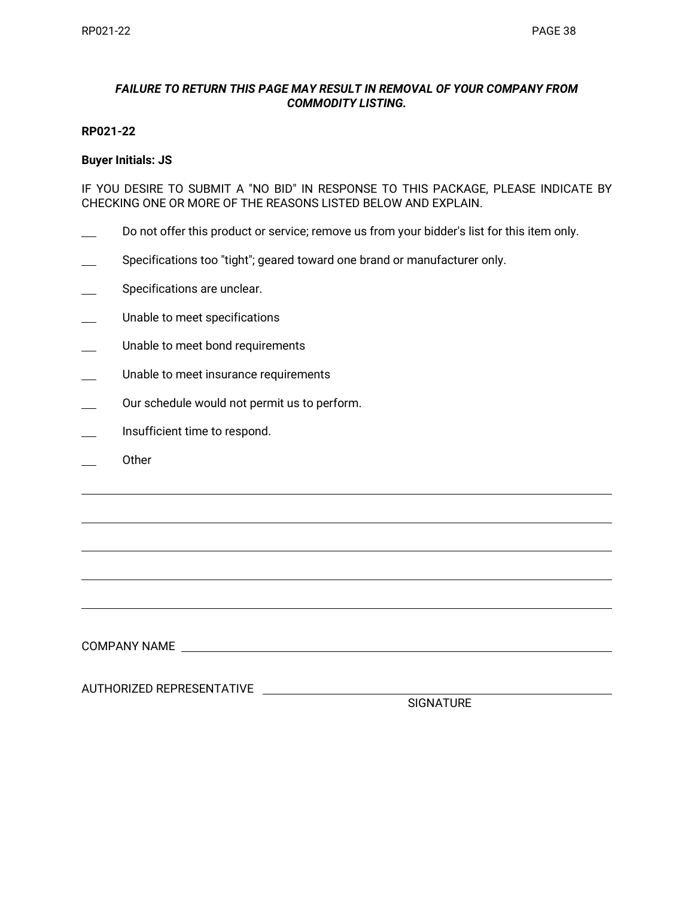### *FAILURE TO RETURN THIS PAGE MAY RESULT IN REMOVAL OF YOUR COMPANY FROM COMMODITY LISTING.*

#### **RP021-22**

#### **Buyer Initials: JS**

IF YOU DESIRE TO SUBMIT A "NO BID" IN RESPONSE TO THIS PACKAGE, PLEASE INDICATE BY CHECKING ONE OR MORE OF THE REASONS LISTED BELOW AND EXPLAIN.

- Do not offer this product or service; remove us from your bidder's list for this item only.
- Specifications too "tight"; geared toward one brand or manufacturer only.
- Specifications are unclear.
- Unable to meet specifications
- Unable to meet bond requirements
- Unable to meet insurance requirements
- Our schedule would not permit us to perform.
- Insufficient time to respond.
- Other

COMPANY NAME

AUTHORIZED REPRESENTATIVE

SIGNATURE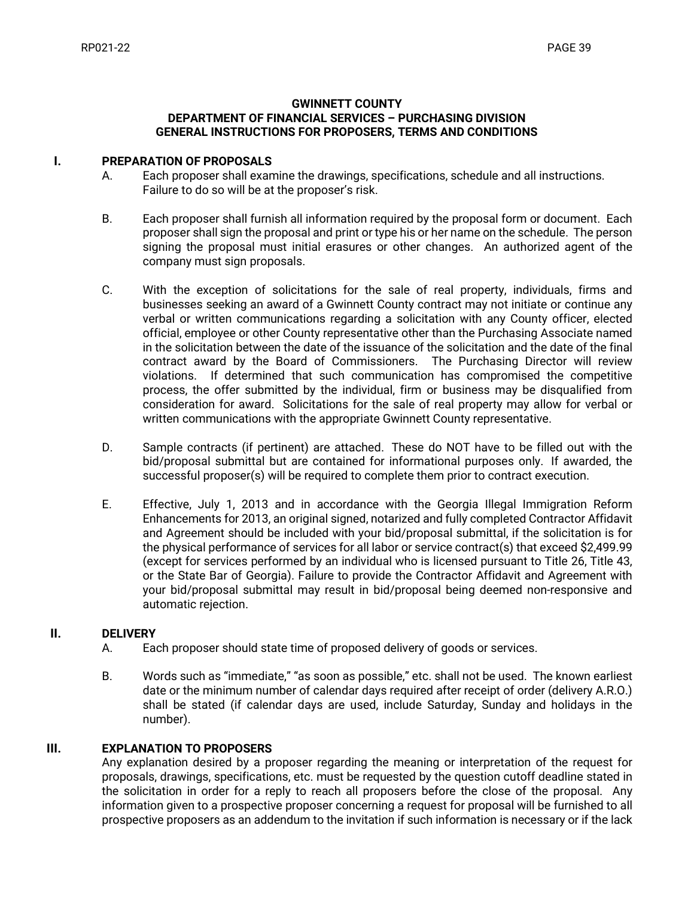#### **GWINNETT COUNTY DEPARTMENT OF FINANCIAL SERVICES – PURCHASING DIVISION GENERAL INSTRUCTIONS FOR PROPOSERS, TERMS AND CONDITIONS**

#### **I. PREPARATION OF PROPOSALS**

- A. Each proposer shall examine the drawings, specifications, schedule and all instructions. Failure to do so will be at the proposer's risk.
- B. Each proposer shall furnish all information required by the proposal form or document. Each proposer shall sign the proposal and print or type his or her name on the schedule. The person signing the proposal must initial erasures or other changes. An authorized agent of the company must sign proposals.
- C. With the exception of solicitations for the sale of real property, individuals, firms and businesses seeking an award of a Gwinnett County contract may not initiate or continue any verbal or written communications regarding a solicitation with any County officer, elected official, employee or other County representative other than the Purchasing Associate named in the solicitation between the date of the issuance of the solicitation and the date of the final contract award by the Board of Commissioners. The Purchasing Director will review violations. If determined that such communication has compromised the competitive process, the offer submitted by the individual, firm or business may be disqualified from consideration for award. Solicitations for the sale of real property may allow for verbal or written communications with the appropriate Gwinnett County representative.
- D. Sample contracts (if pertinent) are attached. These do NOT have to be filled out with the bid/proposal submittal but are contained for informational purposes only. If awarded, the successful proposer(s) will be required to complete them prior to contract execution.
- E. Effective, July 1, 2013 and in accordance with the Georgia Illegal Immigration Reform Enhancements for 2013, an original signed, notarized and fully completed Contractor Affidavit and Agreement should be included with your bid/proposal submittal, if the solicitation is for the physical performance of services for all labor or service contract(s) that exceed \$2,499.99 (except for services performed by an individual who is licensed pursuant to Title 26, Title 43, or the State Bar of Georgia). Failure to provide the Contractor Affidavit and Agreement with your bid/proposal submittal may result in bid/proposal being deemed non-responsive and automatic rejection.

#### **II. DELIVERY**

- A. Each proposer should state time of proposed delivery of goods or services.
- B. Words such as "immediate," "as soon as possible," etc. shall not be used. The known earliest date or the minimum number of calendar days required after receipt of order (delivery A.R.O.) shall be stated (if calendar days are used, include Saturday, Sunday and holidays in the number).

### **III. EXPLANATION TO PROPOSERS**

Any explanation desired by a proposer regarding the meaning or interpretation of the request for proposals, drawings, specifications, etc. must be requested by the question cutoff deadline stated in the solicitation in order for a reply to reach all proposers before the close of the proposal. Any information given to a prospective proposer concerning a request for proposal will be furnished to all prospective proposers as an addendum to the invitation if such information is necessary or if the lack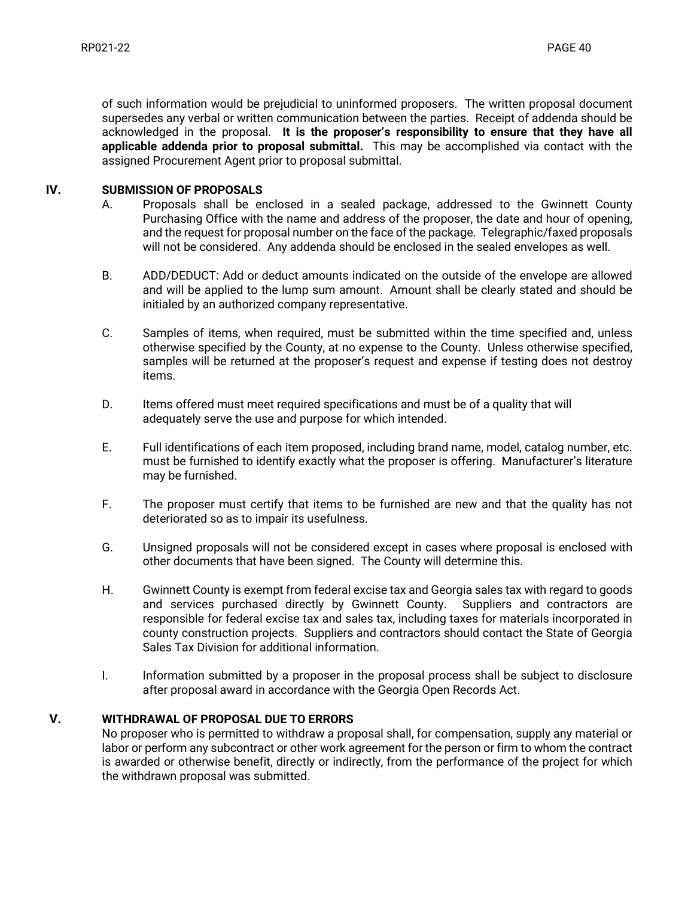of such information would be prejudicial to uninformed proposers. The written proposal document supersedes any verbal or written communication between the parties. Receipt of addenda should be acknowledged in the proposal. **It is the proposer's responsibility to ensure that they have all applicable addenda prior to proposal submittal.** This may be accomplished via contact with the assigned Procurement Agent prior to proposal submittal.

#### **IV. SUBMISSION OF PROPOSALS**

- A. Proposals shall be enclosed in a sealed package, addressed to the Gwinnett County Purchasing Office with the name and address of the proposer, the date and hour of opening, and the request for proposal number on the face of the package. Telegraphic/faxed proposals will not be considered. Any addenda should be enclosed in the sealed envelopes as well.
- B. ADD/DEDUCT: Add or deduct amounts indicated on the outside of the envelope are allowed and will be applied to the lump sum amount. Amount shall be clearly stated and should be initialed by an authorized company representative.
- C. Samples of items, when required, must be submitted within the time specified and, unless otherwise specified by the County, at no expense to the County. Unless otherwise specified, samples will be returned at the proposer's request and expense if testing does not destroy items.
- D. Items offered must meet required specifications and must be of a quality that will adequately serve the use and purpose for which intended.
- E. Full identifications of each item proposed, including brand name, model, catalog number, etc. must be furnished to identify exactly what the proposer is offering. Manufacturer's literature may be furnished.
- F. The proposer must certify that items to be furnished are new and that the quality has not deteriorated so as to impair its usefulness.
- G. Unsigned proposals will not be considered except in cases where proposal is enclosed with other documents that have been signed. The County will determine this.
- H. Gwinnett County is exempt from federal excise tax and Georgia sales tax with regard to goods and services purchased directly by Gwinnett County. Suppliers and contractors are responsible for federal excise tax and sales tax, including taxes for materials incorporated in county construction projects. Suppliers and contractors should contact the State of Georgia Sales Tax Division for additional information.
- I. Information submitted by a proposer in the proposal process shall be subject to disclosure after proposal award in accordance with the Georgia Open Records Act.

### **V. WITHDRAWAL OF PROPOSAL DUE TO ERRORS**

No proposer who is permitted to withdraw a proposal shall, for compensation, supply any material or labor or perform any subcontract or other work agreement for the person or firm to whom the contract is awarded or otherwise benefit, directly or indirectly, from the performance of the project for which the withdrawn proposal was submitted.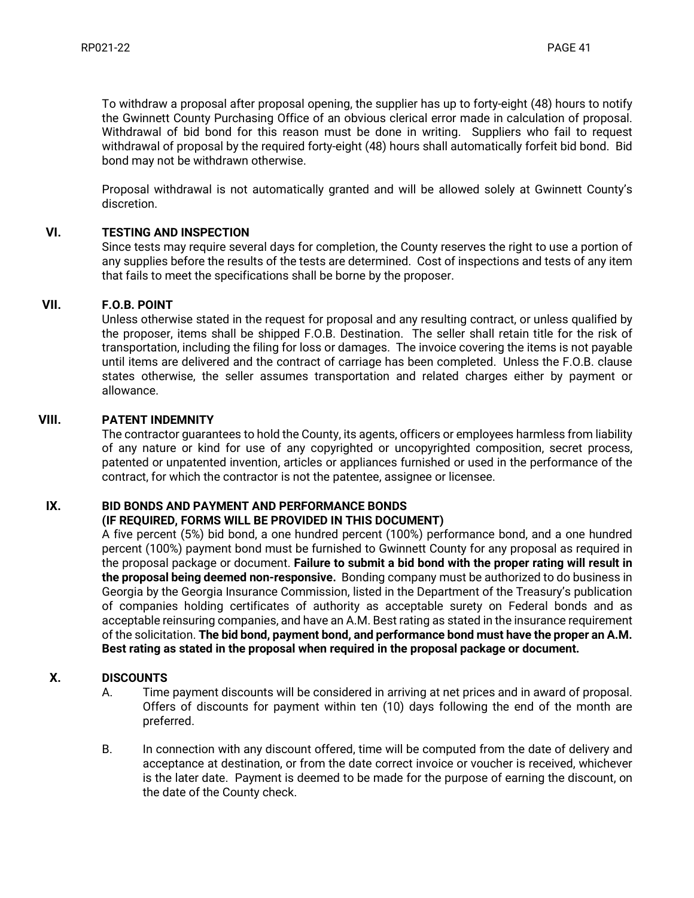To withdraw a proposal after proposal opening, the supplier has up to forty-eight (48) hours to notify the Gwinnett County Purchasing Office of an obvious clerical error made in calculation of proposal. Withdrawal of bid bond for this reason must be done in writing. Suppliers who fail to request withdrawal of proposal by the required forty-eight (48) hours shall automatically forfeit bid bond. Bid bond may not be withdrawn otherwise.

Proposal withdrawal is not automatically granted and will be allowed solely at Gwinnett County's discretion.

### **VI. TESTING AND INSPECTION**

Since tests may require several days for completion, the County reserves the right to use a portion of any supplies before the results of the tests are determined. Cost of inspections and tests of any item that fails to meet the specifications shall be borne by the proposer.

### **VII. F.O.B. POINT**

Unless otherwise stated in the request for proposal and any resulting contract, or unless qualified by the proposer, items shall be shipped F.O.B. Destination. The seller shall retain title for the risk of transportation, including the filing for loss or damages. The invoice covering the items is not payable until items are delivered and the contract of carriage has been completed. Unless the F.O.B. clause states otherwise, the seller assumes transportation and related charges either by payment or allowance.

### **VIII. PATENT INDEMNITY**

The contractor guarantees to hold the County, its agents, officers or employees harmless from liability of any nature or kind for use of any copyrighted or uncopyrighted composition, secret process, patented or unpatented invention, articles or appliances furnished or used in the performance of the contract, for which the contractor is not the patentee, assignee or licensee.

## **IX. BID BONDS AND PAYMENT AND PERFORMANCE BONDS**

#### **(IF REQUIRED, FORMS WILL BE PROVIDED IN THIS DOCUMENT)**

A five percent (5%) bid bond, a one hundred percent (100%) performance bond, and a one hundred percent (100%) payment bond must be furnished to Gwinnett County for any proposal as required in the proposal package or document. **Failure to submit a bid bond with the proper rating will result in the proposal being deemed non-responsive.** Bonding company must be authorized to do business in Georgia by the Georgia Insurance Commission, listed in the Department of the Treasury's publication of companies holding certificates of authority as acceptable surety on Federal bonds and as acceptable reinsuring companies, and have an A.M. Best rating as stated in the insurance requirement of the solicitation. **The bid bond, payment bond, and performance bond must have the proper an A.M. Best rating as stated in the proposal when required in the proposal package or document.** 

#### **X. DISCOUNTS**

- A. Time payment discounts will be considered in arriving at net prices and in award of proposal. Offers of discounts for payment within ten (10) days following the end of the month are preferred.
- B. In connection with any discount offered, time will be computed from the date of delivery and acceptance at destination, or from the date correct invoice or voucher is received, whichever is the later date. Payment is deemed to be made for the purpose of earning the discount, on the date of the County check.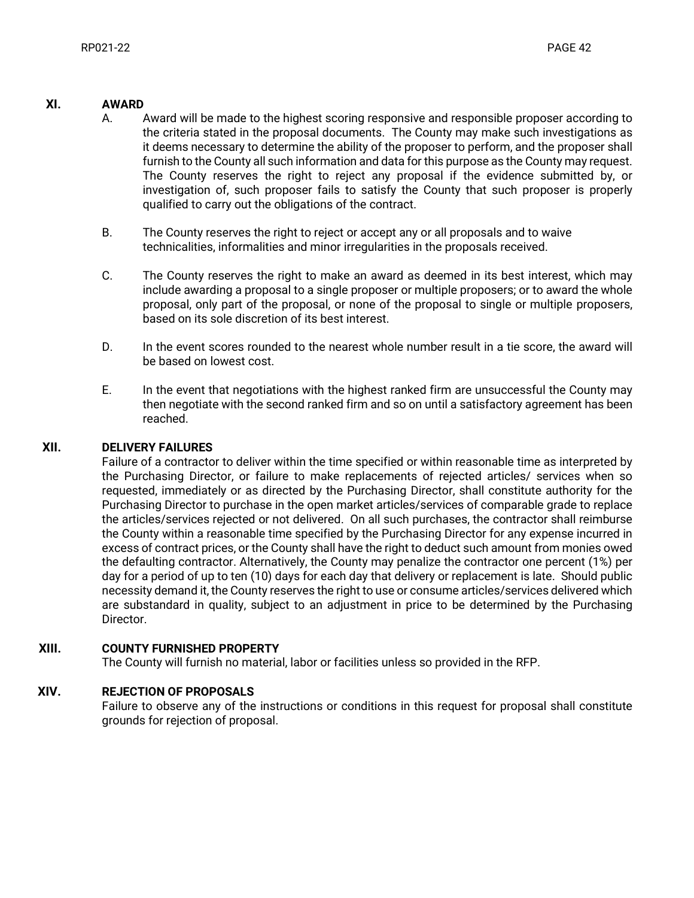#### **XI. AWARD**

- A. Award will be made to the highest scoring responsive and responsible proposer according to the criteria stated in the proposal documents. The County may make such investigations as it deems necessary to determine the ability of the proposer to perform, and the proposer shall furnish to the County all such information and data for this purpose as the County may request. The County reserves the right to reject any proposal if the evidence submitted by, or investigation of, such proposer fails to satisfy the County that such proposer is properly qualified to carry out the obligations of the contract.
- B. The County reserves the right to reject or accept any or all proposals and to waive technicalities, informalities and minor irregularities in the proposals received.
- C. The County reserves the right to make an award as deemed in its best interest, which may include awarding a proposal to a single proposer or multiple proposers; or to award the whole proposal, only part of the proposal, or none of the proposal to single or multiple proposers, based on its sole discretion of its best interest.
- D. In the event scores rounded to the nearest whole number result in a tie score, the award will be based on lowest cost.
- E. In the event that negotiations with the highest ranked firm are unsuccessful the County may then negotiate with the second ranked firm and so on until a satisfactory agreement has been reached.

#### **XII. DELIVERY FAILURES**

Failure of a contractor to deliver within the time specified or within reasonable time as interpreted by the Purchasing Director, or failure to make replacements of rejected articles/ services when so requested, immediately or as directed by the Purchasing Director, shall constitute authority for the Purchasing Director to purchase in the open market articles/services of comparable grade to replace the articles/services rejected or not delivered. On all such purchases, the contractor shall reimburse the County within a reasonable time specified by the Purchasing Director for any expense incurred in excess of contract prices, or the County shall have the right to deduct such amount from monies owed the defaulting contractor. Alternatively, the County may penalize the contractor one percent (1%) per day for a period of up to ten (10) days for each day that delivery or replacement is late. Should public necessity demand it, the County reserves the right to use or consume articles/services delivered which are substandard in quality, subject to an adjustment in price to be determined by the Purchasing Director.

#### **XIII. COUNTY FURNISHED PROPERTY**

The County will furnish no material, labor or facilities unless so provided in the RFP.

#### **XIV. REJECTION OF PROPOSALS**

Failure to observe any of the instructions or conditions in this request for proposal shall constitute grounds for rejection of proposal.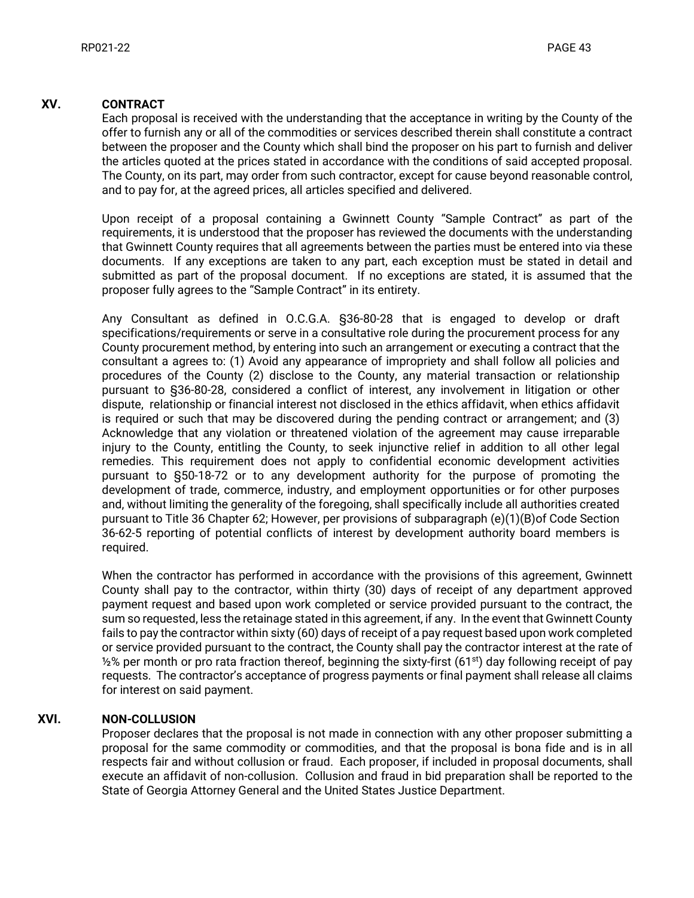#### **XV. CONTRACT**

Each proposal is received with the understanding that the acceptance in writing by the County of the offer to furnish any or all of the commodities or services described therein shall constitute a contract between the proposer and the County which shall bind the proposer on his part to furnish and deliver the articles quoted at the prices stated in accordance with the conditions of said accepted proposal. The County, on its part, may order from such contractor, except for cause beyond reasonable control, and to pay for, at the agreed prices, all articles specified and delivered.

Upon receipt of a proposal containing a Gwinnett County "Sample Contract" as part of the requirements, it is understood that the proposer has reviewed the documents with the understanding that Gwinnett County requires that all agreements between the parties must be entered into via these documents. If any exceptions are taken to any part, each exception must be stated in detail and submitted as part of the proposal document. If no exceptions are stated, it is assumed that the proposer fully agrees to the "Sample Contract" in its entirety.

Any Consultant as defined in O.C.G.A. §36-80-28 that is engaged to develop or draft specifications/requirements or serve in a consultative role during the procurement process for any County procurement method, by entering into such an arrangement or executing a contract that the consultant a agrees to: (1) Avoid any appearance of impropriety and shall follow all policies and procedures of the County (2) disclose to the County, any material transaction or relationship pursuant to §36-80-28, considered a conflict of interest, any involvement in litigation or other dispute, relationship or financial interest not disclosed in the ethics affidavit, when ethics affidavit is required or such that may be discovered during the pending contract or arrangement; and (3) Acknowledge that any violation or threatened violation of the agreement may cause irreparable injury to the County, entitling the County, to seek injunctive relief in addition to all other legal remedies. This requirement does not apply to confidential economic development activities pursuant to §50-18-72 or to any development authority for the purpose of promoting the development of trade, commerce, industry, and employment opportunities or for other purposes and, without limiting the generality of the foregoing, shall specifically include all authorities created pursuant to Title 36 Chapter 62; However, per provisions of subparagraph (e)(1)(B)of Code Section 36-62-5 reporting of potential conflicts of interest by development authority board members is required.

When the contractor has performed in accordance with the provisions of this agreement, Gwinnett County shall pay to the contractor, within thirty (30) days of receipt of any department approved payment request and based upon work completed or service provided pursuant to the contract, the sum so requested, less the retainage stated in this agreement, if any. In the event that Gwinnett County fails to pay the contractor within sixty (60) days of receipt of a pay request based upon work completed or service provided pursuant to the contract, the County shall pay the contractor interest at the rate of  $\frac{1}{2}$  per month or pro rata fraction thereof, beginning the sixty-first (61<sup>st</sup>) day following receipt of pay requests. The contractor's acceptance of progress payments or final payment shall release all claims for interest on said payment.

#### **XVI. NON-COLLUSION**

Proposer declares that the proposal is not made in connection with any other proposer submitting a proposal for the same commodity or commodities, and that the proposal is bona fide and is in all respects fair and without collusion or fraud. Each proposer, if included in proposal documents, shall execute an affidavit of non-collusion. Collusion and fraud in bid preparation shall be reported to the State of Georgia Attorney General and the United States Justice Department.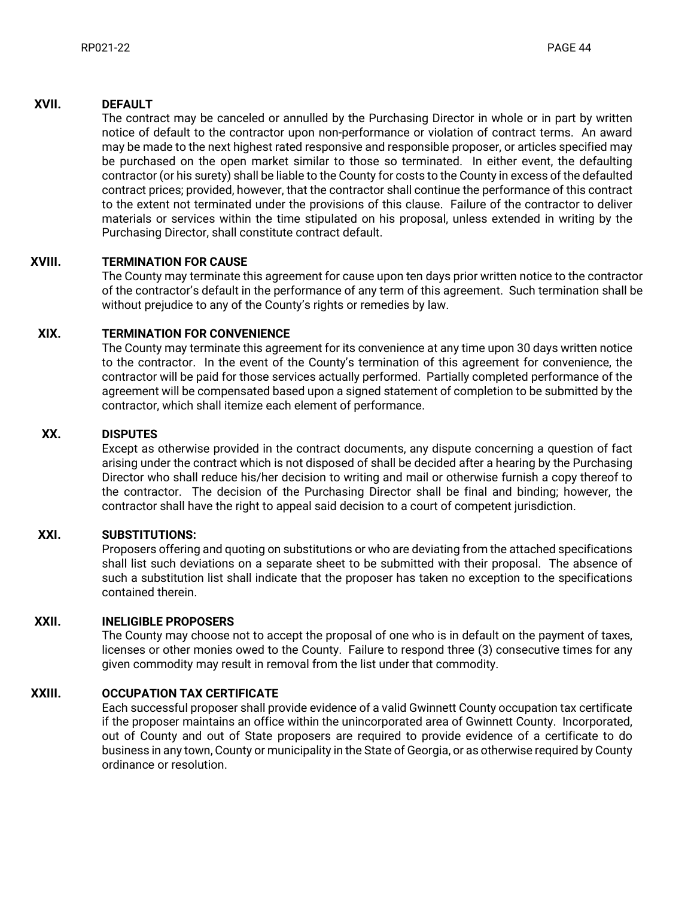#### **XVII. DEFAULT**

The contract may be canceled or annulled by the Purchasing Director in whole or in part by written notice of default to the contractor upon non-performance or violation of contract terms. An award may be made to the next highest rated responsive and responsible proposer, or articles specified may be purchased on the open market similar to those so terminated. In either event, the defaulting contractor (or his surety) shall be liable to the County for costs to the County in excess of the defaulted contract prices; provided, however, that the contractor shall continue the performance of this contract to the extent not terminated under the provisions of this clause. Failure of the contractor to deliver materials or services within the time stipulated on his proposal, unless extended in writing by the Purchasing Director, shall constitute contract default.

### **XVIII. TERMINATION FOR CAUSE**

The County may terminate this agreement for cause upon ten days prior written notice to the contractor of the contractor's default in the performance of any term of this agreement. Such termination shall be without prejudice to any of the County's rights or remedies by law.

### **XIX. TERMINATION FOR CONVENIENCE**

The County may terminate this agreement for its convenience at any time upon 30 days written notice to the contractor. In the event of the County's termination of this agreement for convenience, the contractor will be paid for those services actually performed. Partially completed performance of the agreement will be compensated based upon a signed statement of completion to be submitted by the contractor, which shall itemize each element of performance.

#### **XX. DISPUTES**

Except as otherwise provided in the contract documents, any dispute concerning a question of fact arising under the contract which is not disposed of shall be decided after a hearing by the Purchasing Director who shall reduce his/her decision to writing and mail or otherwise furnish a copy thereof to the contractor. The decision of the Purchasing Director shall be final and binding; however, the contractor shall have the right to appeal said decision to a court of competent jurisdiction.

### **XXI. SUBSTITUTIONS:**

Proposers offering and quoting on substitutions or who are deviating from the attached specifications shall list such deviations on a separate sheet to be submitted with their proposal. The absence of such a substitution list shall indicate that the proposer has taken no exception to the specifications contained therein.

#### **XXII. INELIGIBLE PROPOSERS**

The County may choose not to accept the proposal of one who is in default on the payment of taxes, licenses or other monies owed to the County. Failure to respond three (3) consecutive times for any given commodity may result in removal from the list under that commodity.

#### **XXIII. OCCUPATION TAX CERTIFICATE**

Each successful proposer shall provide evidence of a valid Gwinnett County occupation tax certificate if the proposer maintains an office within the unincorporated area of Gwinnett County. Incorporated, out of County and out of State proposers are required to provide evidence of a certificate to do business in any town, County or municipality in the State of Georgia, or as otherwise required by County ordinance or resolution.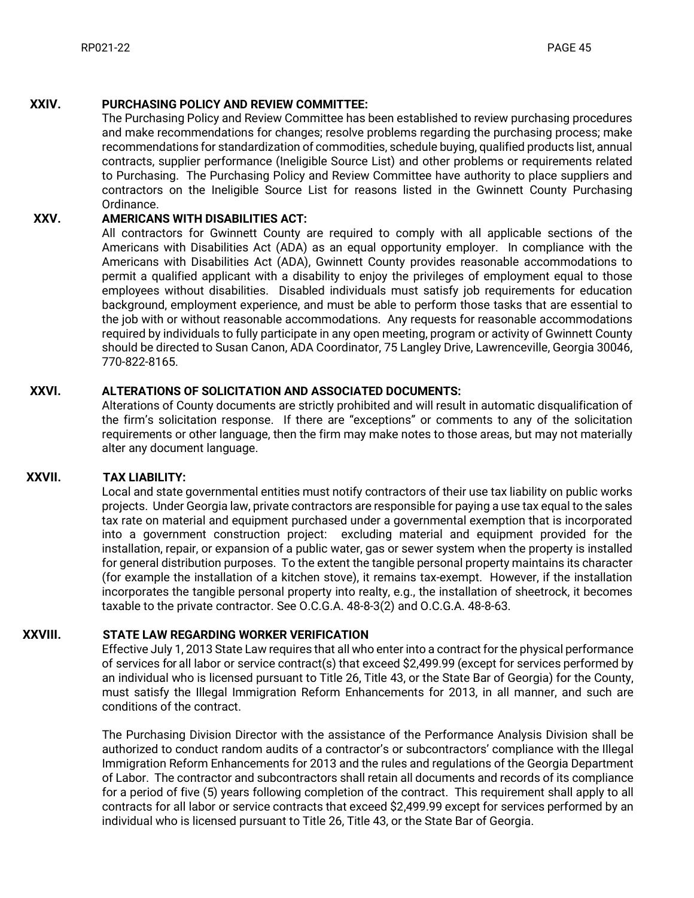#### **XXIV. PURCHASING POLICY AND REVIEW COMMITTEE:**

The Purchasing Policy and Review Committee has been established to review purchasing procedures and make recommendations for changes; resolve problems regarding the purchasing process; make recommendations for standardization of commodities, schedule buying, qualified products list, annual contracts, supplier performance (Ineligible Source List) and other problems or requirements related to Purchasing. The Purchasing Policy and Review Committee have authority to place suppliers and contractors on the Ineligible Source List for reasons listed in the Gwinnett County Purchasing Ordinance.

#### **XXV. AMERICANS WITH DISABILITIES ACT:**

All contractors for Gwinnett County are required to comply with all applicable sections of the Americans with Disabilities Act (ADA) as an equal opportunity employer. In compliance with the Americans with Disabilities Act (ADA), Gwinnett County provides reasonable accommodations to permit a qualified applicant with a disability to enjoy the privileges of employment equal to those employees without disabilities. Disabled individuals must satisfy job requirements for education background, employment experience, and must be able to perform those tasks that are essential to the job with or without reasonable accommodations. Any requests for reasonable accommodations required by individuals to fully participate in any open meeting, program or activity of Gwinnett County should be directed to Susan Canon, ADA Coordinator, 75 Langley Drive, Lawrenceville, Georgia 30046, 770-822-8165.

#### **XXVI. ALTERATIONS OF SOLICITATION AND ASSOCIATED DOCUMENTS:**

Alterations of County documents are strictly prohibited and will result in automatic disqualification of the firm's solicitation response. If there are "exceptions" or comments to any of the solicitation requirements or other language, then the firm may make notes to those areas, but may not materially alter any document language.

#### **XXVII. TAX LIABILITY:**

Local and state governmental entities must notify contractors of their use tax liability on public works projects. Under Georgia law, private contractors are responsible for paying a use tax equal to the sales tax rate on material and equipment purchased under a governmental exemption that is incorporated into a government construction project: excluding material and equipment provided for the installation, repair, or expansion of a public water, gas or sewer system when the property is installed for general distribution purposes. To the extent the tangible personal property maintains its character (for example the installation of a kitchen stove), it remains tax-exempt. However, if the installation incorporates the tangible personal property into realty, e.g., the installation of sheetrock, it becomes taxable to the private contractor. See O.C.G.A. 48-8-3(2) and O.C.G.A. 48-8-63.

#### **XXVIII. STATE LAW REGARDING WORKER VERIFICATION**

Effective July 1, 2013 State Law requires that all who enter into a contract for the physical performance of services for all labor or service contract(s) that exceed \$2,499.99 (except for services performed by an individual who is licensed pursuant to Title 26, Title 43, or the State Bar of Georgia) for the County, must satisfy the Illegal Immigration Reform Enhancements for 2013, in all manner, and such are conditions of the contract.

The Purchasing Division Director with the assistance of the Performance Analysis Division shall be authorized to conduct random audits of a contractor's or subcontractors' compliance with the Illegal Immigration Reform Enhancements for 2013 and the rules and regulations of the Georgia Department of Labor. The contractor and subcontractors shall retain all documents and records of its compliance for a period of five (5) years following completion of the contract. This requirement shall apply to all contracts for all labor or service contracts that exceed \$2,499.99 except for services performed by an individual who is licensed pursuant to Title 26, Title 43, or the State Bar of Georgia.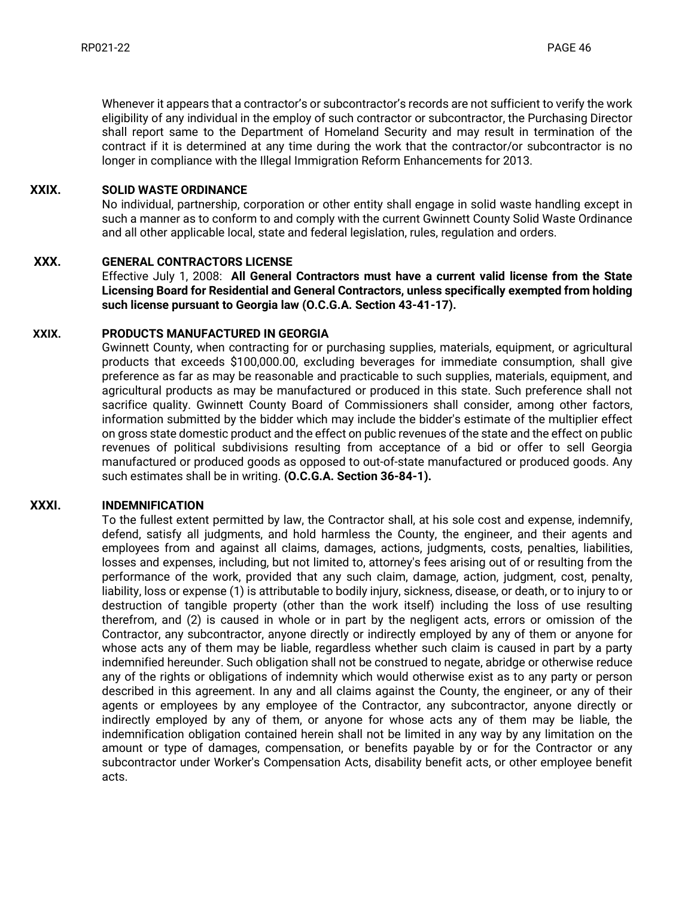Whenever it appears that a contractor's or subcontractor's records are not sufficient to verify the work eligibility of any individual in the employ of such contractor or subcontractor, the Purchasing Director shall report same to the Department of Homeland Security and may result in termination of the contract if it is determined at any time during the work that the contractor/or subcontractor is no longer in compliance with the Illegal Immigration Reform Enhancements for 2013.

#### **XXIX. SOLID WASTE ORDINANCE**

No individual, partnership, corporation or other entity shall engage in solid waste handling except in such a manner as to conform to and comply with the current Gwinnett County Solid Waste Ordinance and all other applicable local, state and federal legislation, rules, regulation and orders.

### **XXX. GENERAL CONTRACTORS LICENSE**

Effective July 1, 2008: **All General Contractors must have a current valid license from the State Licensing Board for Residential and General Contractors, unless specifically exempted from holding such license pursuant to Georgia law (O.C.G.A. Section 43-41-17).**

#### **XXIX. PRODUCTS MANUFACTURED IN GEORGIA**

Gwinnett County, when contracting for or purchasing supplies, materials, equipment, or agricultural products that exceeds \$100,000.00, excluding beverages for immediate consumption, shall give preference as far as may be reasonable and practicable to such supplies, materials, equipment, and agricultural products as may be manufactured or produced in this state. Such preference shall not sacrifice quality. Gwinnett County Board of Commissioners shall consider, among other factors, information submitted by the bidder which may include the bidder's estimate of the multiplier effect on gross state domestic product and the effect on public revenues of the state and the effect on public revenues of political subdivisions resulting from acceptance of a bid or offer to sell Georgia manufactured or produced goods as opposed to out-of-state manufactured or produced goods. Any such estimates shall be in writing. **(O.C.G.A. Section 36-84-1).**

### **XXXI. INDEMNIFICATION**

To the fullest extent permitted by law, the Contractor shall, at his sole cost and expense, indemnify, defend, satisfy all judgments, and hold harmless the County, the engineer, and their agents and employees from and against all claims, damages, actions, judgments, costs, penalties, liabilities, losses and expenses, including, but not limited to, attorney's fees arising out of or resulting from the performance of the work, provided that any such claim, damage, action, judgment, cost, penalty, liability, loss or expense (1) is attributable to bodily injury, sickness, disease, or death, or to injury to or destruction of tangible property (other than the work itself) including the loss of use resulting therefrom, and (2) is caused in whole or in part by the negligent acts, errors or omission of the Contractor, any subcontractor, anyone directly or indirectly employed by any of them or anyone for whose acts any of them may be liable, regardless whether such claim is caused in part by a party indemnified hereunder. Such obligation shall not be construed to negate, abridge or otherwise reduce any of the rights or obligations of indemnity which would otherwise exist as to any party or person described in this agreement. In any and all claims against the County, the engineer, or any of their agents or employees by any employee of the Contractor, any subcontractor, anyone directly or indirectly employed by any of them, or anyone for whose acts any of them may be liable, the indemnification obligation contained herein shall not be limited in any way by any limitation on the amount or type of damages, compensation, or benefits payable by or for the Contractor or any subcontractor under Worker's Compensation Acts, disability benefit acts, or other employee benefit acts.